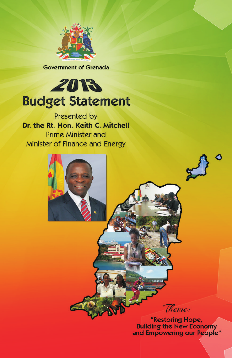

**Government of Grenada** 

# 2013 **Budget Statement**

Presented by Dr. the Rt. Hon. Keith C. Mitchell **Prime Minister and** Minister of Finance and Energy



**Building the New Economy** and Empowering our People"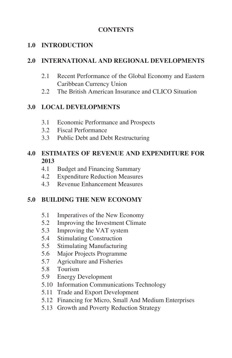#### **CONTENTS**

#### **1.0 INTRODUCTION**

#### **2.0 INTERNATIONAL AND REGIONAL DEVELOPMENTS**

- 2.1 Recent Performance of the Global Economy and Eastern Caribbean Currency Union
- 2.2 The British American Insurance and CLICO Situation

#### **3.0 LOCAL DEVELOPMENTS**

- 3.1 Economic Performance and Prospects
- 3.2 Fiscal Performance
- 3.3 Public Debt and Debt Restructuring

#### **4.0 ESTIMATES OF REVENUE AND EXPENDITURE FOR 2013**

- 4.1 Budget and Financing Summary
- 4.2 Expenditure Reduction Measures
- 4.3 Revenue Enhancement Measures

#### **5.0 BUILDING THE NEW ECONOMY**

- 5.1 Imperatives of the New Economy
- 5.2 Improving the Investment Climate
- 5.3 Improving the VAT system
- 5.4 Stimulating Construction
- 5.5 Stimulating Manufacturing
- 5.6 Major Projects Programme
- 5.7 Agriculture and Fisheries
- 5.8 Tourism
- 5.9 Energy Development
- 5.10 Information Communications Technology
- 5.11 Trade and Export Development
- 5.12 Financing for Micro, Small And Medium Enterprises
- 5.13 Growth and Poverty Reduction Strategy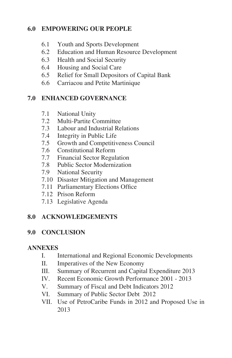## **6.0 EMPOWERING OUR PEOPLE**

- 6.1 Youth and Sports Development
- 6.2 Education and Human Resource Development
- 6.3 Health and Social Security
- 6.4 Housing and Social Care
- 6.5 Relief for Small Depositors of Capital Bank
- 6.6 Carriacou and Petite Martinique

#### **7.0 ENHANCED GOVERNANCE**

- 7.1 National Unity
- 7.2 Multi-Partite Committee
- 7.3 Labour and Industrial Relations
- 7.4 Integrity in Public Life
- 7.5 Growth and Competitiveness Council
- 7.6 Constitutional Reform
- 7.7 Financial Sector Regulation
- 7.8 Public Sector Modernization
- 7.9 National Security
- 7.10 Disaster Mitigation and Management
- 7.11 Parliamentary Elections Office
- 7.12 Prison Reform
- 7.13 Legislative Agenda

#### **8.0 ACKNOWLEDGEMENTS**

#### **9.0 CONCLUSION**

#### **ANNEXES**

- I. International and Regional Economic Developments
- II. Imperatives of the New Economy
- III. Summary of Recurrent and Capital Expenditure 2013
- IV. Recent Economic Growth Performance 2001 2013
- V. Summary of Fiscal and Debt Indicators 2012
- VI. Summary of Public Sector Debt 2012
- VII. Use of PetroCaribe Funds in 2012 and Proposed Use in 2013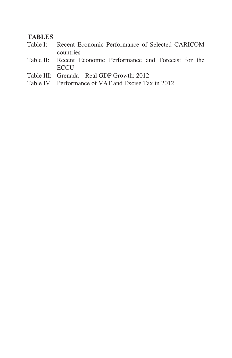#### **TABLES**

- Table I: Recent Economic Performance of Selected CARICOM countries
- Table II: Recent Economic Performance and Forecast for the **ECCU**
- Table III: Grenada Real GDP Growth: 2012
- Table IV: Performance of VAT and Excise Tax in 2012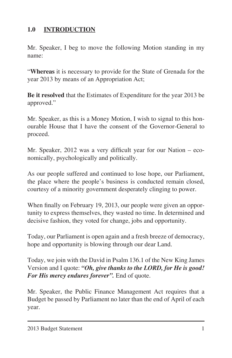# **1.0 INTRODUCTION**

Mr. Speaker, I beg to move the following Motion standing in my name:

"**Whereas** it is necessary to provide for the State of Grenada for the year 2013 by means of an Appropriation Act;

**Be it resolved** that the Estimates of Expenditure for the year 2013 be approved."

Mr. Speaker, as this is a Money Motion, I wish to signal to this honourable House that I have the consent of the Governor-General to proceed.

Mr. Speaker, 2012 was a very difficult year for our Nation – economically, psychologically and politically.

As our people suffered and continued to lose hope, our Parliament, the place where the people's business is conducted remain closed, courtesy of a minority government desperately clinging to power.

When finally on February 19, 2013, our people were given an opportunity to express themselves, they wasted no time. In determined and decisive fashion, they voted for change, jobs and opportunity.

Today, our Parliament is open again and a fresh breeze of democracy, hope and opportunity is blowing through our dear Land.

Today, we join with the David in Psalm 136.1 of the New King James Version and I quote: *"Oh, give thanks to the LORD, for He is good! For His mercy endures forever".* End of quote.

Mr. Speaker, the Public Finance Management Act requires that a Budget be passed by Parliament no later than the end of April of each year.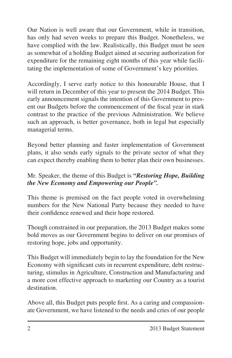Our Nation is well aware that our Government, while in transition, has only had seven weeks to prepare this Budget. Nonetheless, we have complied with the law. Realistically, this Budget must be seen as somewhat of a holding Budget aimed at securing authorization for expenditure for the remaining eight months of this year while facilitating the implementation of some of Government's key priorities.

Accordingly, I serve early notice to this honourable House, that I will return in December of this year to present the 2014 Budget. This early announcement signals the intention of this Government to present our Budgets before the commencement of the fiscal year in stark contrast to the practice of the previous Administration. We believe such an approach, is better governance, both in legal but especially managerial terms.

Beyond better planning and faster implementation of Government plans, it also sends early signals to the private sector of what they can expect thereby enabling them to better plan their own businesses.

#### Mr. Speaker, the theme of this Budget is *"Restoring Hope, Building the New Economy and Empowering our People".*

This theme is premised on the fact people voted in overwhelming numbers for the New National Party because they needed to have their confidence renewed and their hope restored.

Though constrained in our preparation, the 2013 Budget makes some bold moves as our Government begins to deliver on our promises of restoring hope, jobs and opportunity.

This Budget will immediately begin to lay the foundation for the New Economy with significant cuts in recurrent expenditure, debt restructuring, stimulus in Agriculture, Construction and Manufacturing and a more cost effective approach to marketing our Country as a tourist destination.

Above all, this Budget puts people first. As a caring and compassionate Government, we have listened to the needs and cries of our people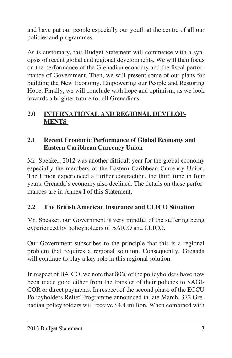and have put our people especially our youth at the centre of all our policies and programmes.

As is customary, this Budget Statement will commence with a synopsis of recent global and regional developments. We will then focus on the performance of the Grenadian economy and the fiscal performance of Government. Then, we will present some of our plans for building the New Economy, Empowering our People and Restoring Hope. Finally, we will conclude with hope and optimism, as we look towards a brighter future for all Grenadians.

## **2.0 INTERNATIONAL AND REGIONAL DEVELOP-MENTS**

#### **2.1 Recent Economic Performance of Global Economy and Eastern Caribbean Currency Union**

Mr. Speaker, 2012 was another difficult year for the global economy especially the members of the Eastern Caribbean Currency Union. The Union experienced a further contraction, the third time in four years. Grenada's economy also declined. The details on these performances are in Annex I of this Statement.

## **2.2 The British American Insurance and CLICO Situation**

Mr. Speaker, our Government is very mindful of the suffering being experienced by policyholders of BAICO and CLICO.

Our Government subscribes to the principle that this is a regional problem that requires a regional solution. Consequently, Grenada will continue to play a key role in this regional solution.

In respect of BAICO, we note that 80% of the policyholders have now been made good either from the transfer of their policies to SAGI-COR or direct payments. In respect of the second phase of the ECCU Policyholders Relief Programme announced in late March, 372 Grenadian policyholders will receive \$4.4 million. When combined with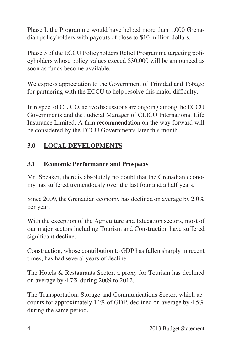Phase I, the Programme would have helped more than 1,000 Grenadian policyholders with payouts of close to \$10 million dollars.

Phase 3 of the ECCU Policyholders Relief Programme targeting policyholders whose policy values exceed \$30,000 will be announced as soon as funds become available.

We express appreciation to the Government of Trinidad and Tobago for partnering with the ECCU to help resolve this major difficulty.

In respect of CLICO, active discussions are ongoing among the ECCU Governments and the Judicial Manager of CLICO International Life Insurance Limited. A firm recommendation on the way forward will be considered by the ECCU Governments later this month.

# **3.0 LOCAL DEVELOPMENTS**

## **3.1 Economic Performance and Prospects**

Mr. Speaker, there is absolutely no doubt that the Grenadian economy has suffered tremendously over the last four and a half years.

Since 2009, the Grenadian economy has declined on average by 2.0% per year.

With the exception of the Agriculture and Education sectors, most of our major sectors including Tourism and Construction have suffered significant decline.

Construction, whose contribution to GDP has fallen sharply in recent times, has had several years of decline.

The Hotels & Restaurants Sector, a proxy for Tourism has declined on average by 4.7% during 2009 to 2012.

The Transportation, Storage and Communications Sector, which accounts for approximately 14% of GDP, declined on average by 4.5% during the same period.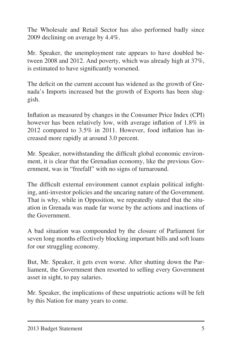The Wholesale and Retail Sector has also performed badly since 2009 declining on average by 4.4%.

Mr. Speaker, the unemployment rate appears to have doubled between 2008 and 2012. And poverty, which was already high at 37%, is estimated to have significantly worsened.

The deficit on the current account has widened as the growth of Grenada's Imports increased but the growth of Exports has been sluggish.

Inflation as measured by changes in the Consumer Price Index (CPI) however has been relatively low, with average inflation of 1.8% in 2012 compared to 3.5% in 2011. However, food inflation has increased more rapidly at around 3.0 percent.

Mr. Speaker, notwithstanding the difficult global economic environment, it is clear that the Grenadian economy, like the previous Government, was in "freefall" with no signs of turnaround.

The difficult external environment cannot explain political infighting, anti-investor policies and the uncaring nature of the Government. That is why, while in Opposition, we repeatedly stated that the situation in Grenada was made far worse by the actions and inactions of the Government.

A bad situation was compounded by the closure of Parliament for seven long months effectively blocking important bills and soft loans for our struggling economy.

But, Mr. Speaker, it gets even worse. After shutting down the Parliament, the Government then resorted to selling every Government asset in sight, to pay salaries.

Mr. Speaker, the implications of these unpatriotic actions will be felt by this Nation for many years to come.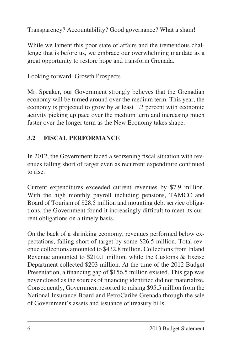Transparency? Accountability? Good governance? What a sham!

While we lament this poor state of affairs and the tremendous challenge that is before us, we embrace our overwhelming mandate as a great opportunity to restore hope and transform Grenada.

Looking forward: Growth Prospects

Mr. Speaker, our Government strongly believes that the Grenadian economy will be turned around over the medium term. This year, the economy is projected to grow by at least 1.2 percent with economic activity picking up pace over the medium term and increasing much faster over the longer term as the New Economy takes shape.

# **3.2 FISCAL PERFORMANCE**

In 2012, the Government faced a worsening fiscal situation with revenues falling short of target even as recurrent expenditure continued to rise.

Current expenditures exceeded current revenues by \$7.9 million. With the high monthly payroll including pensions, TAMCC and Board of Tourism of \$28.5 million and mounting debt service obligations, the Government found it increasingly difficult to meet its current obligations on a timely basis.

On the back of a shrinking economy, revenues performed below expectations, falling short of target by some \$26.5 million. Total revenue collections amounted to \$432.8 million. Collections from Inland Revenue amounted to \$210.1 million, while the Customs & Excise Department collected \$203 million. At the time of the 2012 Budget Presentation, a financing gap of \$156.5 million existed. This gap was never closed as the sources of financing identified did not materialize. Consequently, Government resorted to raising \$95.5 million from the National Insurance Board and PetroCaribe Grenada through the sale of Government's assets and issuance of treasury bills.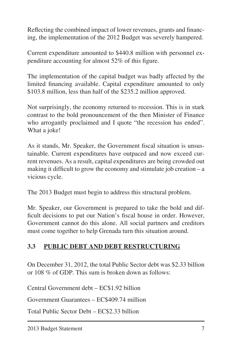Reflecting the combined impact of lower revenues, grants and financing, the implementation of the 2012 Budget was severely hampered.

Current expenditure amounted to \$440.8 million with personnel expenditure accounting for almost 52% of this figure.

The implementation of the capital budget was badly affected by the limited financing available. Capital expenditure amounted to only \$103.8 million, less than half of the \$235.2 million approved.

Not surprisingly, the economy returned to recession. This is in stark contrast to the bold pronouncement of the then Minister of Finance who arrogantly proclaimed and I quote "the recession has ended". What a joke!

As it stands, Mr. Speaker, the Government fiscal situation is unsustainable. Current expenditures have outpaced and now exceed current revenues. As a result, capital expenditures are being crowded out making it difficult to grow the economy and stimulate job creation – a vicious cycle.

The 2013 Budget must begin to address this structural problem.

Mr. Speaker, our Government is prepared to take the bold and difficult decisions to put our Nation's fiscal house in order. However, Government cannot do this alone. All social partners and creditors must come together to help Grenada turn this situation around.

## **3.3 PUBLIC DEBT AND DEBT RESTRUCTURING**

On December 31, 2012, the total Public Sector debt was \$2.33 billion or 108 % of GDP. This sum is broken down as follows:

Central Government debt – EC\$1.92 billion

Government Guarantees – EC\$409.74 million

Total Public Sector Debt – EC\$2.33 billion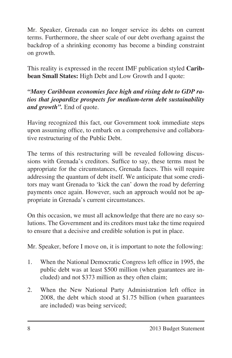Mr. Speaker, Grenada can no longer service its debts on current terms. Furthermore, the sheer scale of our debt overhang against the backdrop of a shrinking economy has become a binding constraint on growth.

This reality is expressed in the recent IMF publication styled **Caribbean Small States:** High Debt and Low Growth and I quote:

## *"Many Caribbean economies face high and rising debt to GDP ratios that jeopardize prospects for medium-term debt sustainability and growth".* End of quote.

Having recognized this fact, our Government took immediate steps upon assuming office, to embark on a comprehensive and collaborative restructuring of the Public Debt.

The terms of this restructuring will be revealed following discussions with Grenada's creditors. Suffice to say, these terms must be appropriate for the circumstances, Grenada faces. This will require addressing the quantum of debt itself. We anticipate that some creditors may want Grenada to 'kick the can' down the road by deferring payments once again. However, such an approach would not be appropriate in Grenada's current circumstances.

On this occasion, we must all acknowledge that there are no easy solutions. The Government and its creditors must take the time required to ensure that a decisive and credible solution is put in place.

Mr. Speaker, before I move on, it is important to note the following:

- 1. When the National Democratic Congress left office in 1995, the public debt was at least \$500 million (when guarantees are included) and not \$373 million as they often claim;
- 2. When the New National Party Administration left office in 2008, the debt which stood at \$1.75 billion (when guarantees are included) was being serviced;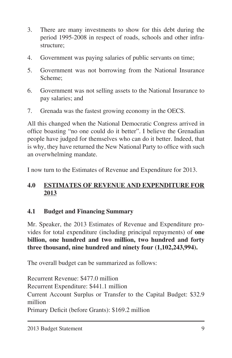- 3. There are many investments to show for this debt during the period 1995-2008 in respect of roads, schools and other infrastructure;
- 4. Government was paying salaries of public servants on time;
- 5. Government was not borrowing from the National Insurance Scheme;
- 6. Government was not selling assets to the National Insurance to pay salaries; and
- 7. Grenada was the fastest growing economy in the OECS.

All this changed when the National Democratic Congress arrived in office boasting "no one could do it better". I believe the Grenadian people have judged for themselves who can do it better. Indeed, that is why, they have returned the New National Party to office with such an overwhelming mandate.

I now turn to the Estimates of Revenue and Expenditure for 2013.

# **4.0 ESTIMATES OF REVENUE AND EXPENDITURE FOR 2013**

## **4.1 Budget and Financing Summary**

Mr. Speaker, the 2013 Estimates of Revenue and Expenditure provides for total expenditure (including principal repayments) of **one billion, one hundred and two million, two hundred and forty three thousand, nine hundred and ninety four (1,102,243,994).** 

The overall budget can be summarized as follows:

Recurrent Revenue: \$477.0 million Recurrent Expenditure: \$441.1 million Current Account Surplus or Transfer to the Capital Budget: \$32.9 million Primary Deficit (before Grants): \$169.2 million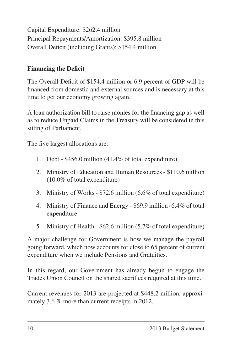Capital Expenditure: \$262.4 million Principal Repayments/Amortization: \$395.8 million Overall Deficit (including Grants): \$154.4 million

## **Financing the Deficit**

The Overall Deficit of \$154.4 million or 6.9 percent of GDP will be financed from domestic and external sources and is necessary at this time to get our economy growing again.

A loan authorization bill to raise monies for the financing gap as well as to reduce Unpaid Claims in the Treasury will be considered in this sitting of Parliament.

The five largest allocations are:

- 1. Debt  $$456.0$  million (41.4% of total expenditure)
- 2. Ministry of Education and Human Resources \$110.6 million (10.0% of total expenditure)
- 3. Ministry of Works  $$72.6$  million (6.6% of total expenditure)
- 4. Ministry of Finance and Energy \$69.9 million (6.4% of total expenditure
- 5. Ministry of Health \$62.6 million (5.7% of total expenditure)

A major challenge for Government is how we manage the payroll going forward, which now accounts for close to 65 percent of current expenditure when we include Pensions and Gratuities.

In this regard, our Government has already begun to engage the Trades Union Council on the shared sacrifices required at this time.

Current revenues for 2013 are projected at \$448.2 million, approximately 3.6 % more than current receipts in 2012.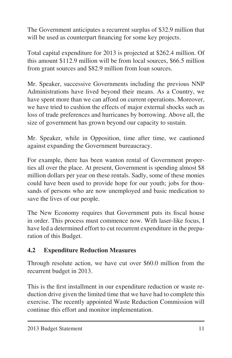The Government anticipates a recurrent surplus of \$32.9 million that will be used as counterpart financing for some key projects.

Total capital expenditure for 2013 is projected at \$262.4 million. Of this amount \$112.9 million will be from local sources, \$66.5 million from grant sources and \$82.9 million from loan sources.

Mr. Speaker, successive Governments including the previous NNP Administrations have lived beyond their means. As a Country, we have spent more than we can afford on current operations. Moreover, we have tried to cushion the effects of major external shocks such as loss of trade preferences and hurricanes by borrowing. Above all, the size of government has grown beyond our capacity to sustain.

Mr. Speaker, while in Opposition, time after time, we cautioned against expanding the Government bureaucracy.

For example, there has been wanton rental of Government properties all over the place. At present, Government is spending almost \$8 million dollars per year on these rentals. Sadly, some of these monies could have been used to provide hope for our youth; jobs for thousands of persons who are now unemployed and basic medication to save the lives of our people.

The New Economy requires that Government puts its fiscal house in order. This process must commence now. With laser-like focus, I have led a determined effort to cut recurrent expenditure in the preparation of this Budget.

#### **4.2 Expenditure Reduction Measures**

Through resolute action, we have cut over \$60.0 million from the recurrent budget in 2013.

This is the first installment in our expenditure reduction or waste reduction drive given the limited time that we have had to complete this exercise. The recently appointed Waste Reduction Commission will continue this effort and monitor implementation.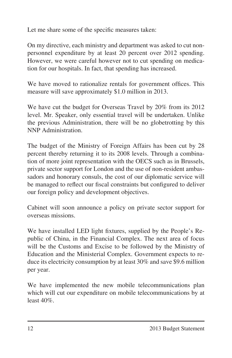Let me share some of the specific measures taken:

On my directive, each ministry and department was asked to cut nonpersonnel expenditure by at least 20 percent over 2012 spending. However, we were careful however not to cut spending on medication for our hospitals. In fact, that spending has increased.

We have moved to rationalize rentals for government offices. This measure will save approximately \$1.0 million in 2013.

We have cut the budget for Overseas Travel by 20% from its 2012 level. Mr. Speaker, only essential travel will be undertaken. Unlike the previous Administration, there will be no globetrotting by this NNP Administration.

The budget of the Ministry of Foreign Affairs has been cut by 28 percent thereby returning it to its 2008 levels. Through a combination of more joint representation with the OECS such as in Brussels, private sector support for London and the use of non-resident ambassadors and honorary consuls, the cost of our diplomatic service will be managed to reflect our fiscal constraints but configured to deliver our foreign policy and development objectives.

Cabinet will soon announce a policy on private sector support for overseas missions.

We have installed LED light fixtures, supplied by the People's Republic of China, in the Financial Complex. The next area of focus will be the Customs and Excise to be followed by the Ministry of Education and the Ministerial Complex. Government expects to reduce its electricity consumption by at least 30% and save \$9.6 million per year.

We have implemented the new mobile telecommunications plan which will cut our expenditure on mobile telecommunications by at least 40%.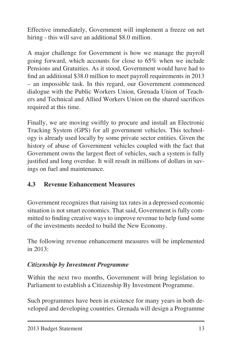Effective immediately, Government will implement a freeze on net hiring - this will save an additional \$8.0 million.

A major challenge for Government is how we manage the payroll going forward, which accounts for close to 65% when we include Pensions and Gratuities. As it stood, Government would have had to find an additional \$38.0 million to meet payroll requirements in 2013 – an impossible task. In this regard, our Government commenced dialogue with the Public Workers Union, Grenada Union of Teachers and Technical and Allied Workers Union on the shared sacrifices required at this time.

Finally, we are moving swiftly to procure and install an Electronic Tracking System (GPS) for all government vehicles. This technology is already used locally by some private sector entities. Given the history of abuse of Government vehicles coupled with the fact that Government owns the largest fleet of vehicles, such a system is fully justified and long overdue. It will result in millions of dollars in savings on fuel and maintenance.

## **4.3 Revenue Enhancement Measures**

Government recognizes that raising tax rates in a depressed economic situation is not smart economics. That said, Government is fully committed to finding creative ways to improve revenue to help fund some of the investments needed to build the New Economy.

The following revenue enhancement measures will be implemented in 2013:

## *Citizenship by Investment Programme*

Within the next two months, Government will bring legislation to Parliament to establish a Citizenship By Investment Programme.

Such programmes have been in existence for many years in both developed and developing countries. Grenada will design a Programme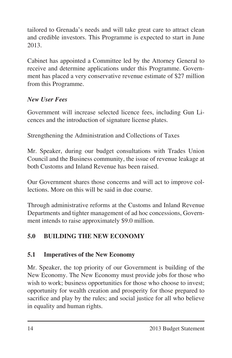tailored to Grenada's needs and will take great care to attract clean and credible investors. This Programme is expected to start in June 2013.

Cabinet has appointed a Committee led by the Attorney General to receive and determine applications under this Programme. Government has placed a very conservative revenue estimate of \$27 million from this Programme.

#### *New User Fees*

Government will increase selected licence fees, including Gun Licences and the introduction of signature license plates.

Strengthening the Administration and Collections of Taxes

Mr. Speaker, during our budget consultations with Trades Union Council and the Business community, the issue of revenue leakage at both Customs and Inland Revenue has been raised.

Our Government shares those concerns and will act to improve collections. More on this will be said in due course.

Through administrative reforms at the Customs and Inland Revenue Departments and tighter management of ad hoc concessions, Government intends to raise approximately \$9.0 million.

# **5.0 BUILDING THE NEW ECONOMY**

## **5.1 Imperatives of the New Economy**

Mr. Speaker, the top priority of our Government is building of the New Economy. The New Economy must provide jobs for those who wish to work; business opportunities for those who choose to invest; opportunity for wealth creation and prosperity for those prepared to sacrifice and play by the rules; and social justice for all who believe in equality and human rights.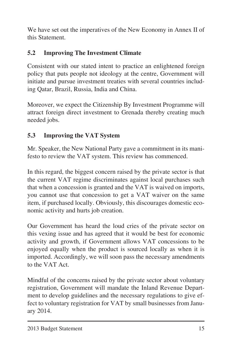We have set out the imperatives of the New Economy in Annex II of this Statement.

# **5.2 Improving The Investment Climate**

Consistent with our stated intent to practice an enlightened foreign policy that puts people not ideology at the centre, Government will initiate and pursue investment treaties with several countries including Qatar, Brazil, Russia, India and China.

Moreover, we expect the Citizenship By Investment Programme will attract foreign direct investment to Grenada thereby creating much needed jobs.

## **5.3 Improving the VAT System**

Mr. Speaker, the New National Party gave a commitment in its manifesto to review the VAT system. This review has commenced.

In this regard, the biggest concern raised by the private sector is that the current VAT regime discriminates against local purchases such that when a concession is granted and the VAT is waived on imports, you cannot use that concession to get a VAT waiver on the same item, if purchased locally. Obviously, this discourages domestic economic activity and hurts job creation.

Our Government has heard the loud cries of the private sector on this vexing issue and has agreed that it would be best for economic activity and growth, if Government allows VAT concessions to be enjoyed equally when the product is sourced locally as when it is imported. Accordingly, we will soon pass the necessary amendments to the VAT Act.

Mindful of the concerns raised by the private sector about voluntary registration, Government will mandate the Inland Revenue Department to develop guidelines and the necessary regulations to give effect to voluntary registration for VAT by small businesses from January 2014.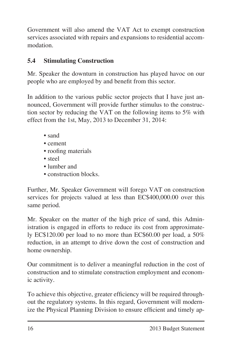Government will also amend the VAT Act to exempt construction services associated with repairs and expansions to residential accommodation.

## **5.4 Stimulating Construction**

Mr. Speaker the downturn in construction has played havoc on our people who are employed by and benefit from this sector.

In addition to the various public sector projects that I have just announced, Government will provide further stimulus to the construction sector by reducing the VAT on the following items to 5% with effect from the 1st, May, 2013 to December 31, 2014:

- sand
- cement
- roofing materials
- steel
- lumber and
- construction blocks.

Further, Mr. Speaker Government will forego VAT on construction services for projects valued at less than EC\$400,000.00 over this same period.

Mr. Speaker on the matter of the high price of sand, this Administration is engaged in efforts to reduce its cost from approximately EC\$120.00 per load to no more than EC\$60.00 per load, a 50% reduction, in an attempt to drive down the cost of construction and home ownership.

Our commitment is to deliver a meaningful reduction in the cost of construction and to stimulate construction employment and economic activity.

To achieve this objective, greater efficiency will be required throughout the regulatory systems. In this regard, Government will modernize the Physical Planning Division to ensure efficient and timely ap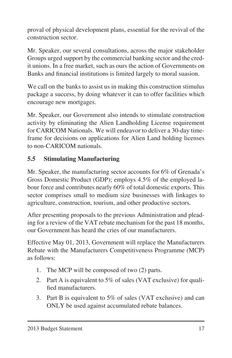proval of physical development plans, essential for the revival of the construction sector.

Mr. Speaker, our several consultations, across the major stakeholder Groups urged support by the commercial banking sector and the credit unions. In a free market, such as ours the action of Governments on Banks and financial institutions is limited largely to moral suasion.

We call on the banks to assist us in making this construction stimulus package a success, by doing whatever it can to offer facilities which encourage new mortgages.

Mr. Speaker, our Government also intends to stimulate construction activity by eliminating the Alien Landholding License requirement for CARICOM Nationals. We will endeavor to deliver a 30-day timeframe for decisions on applications for Alien Land holding licenses to non-CARICOM nationals.

## **5.5 Stimulating Manufacturing**

Mr. Speaker, the manufacturing sector accounts for 6% of Grenada's Gross Domestic Product (GDP); employs 4.5% of the employed labour force and contributes nearly 60% of total domestic exports. This sector comprises small to medium size businesses with linkages to agriculture, construction, tourism, and other productive sectors.

After presenting proposals to the previous Administration and pleading for a review of the VAT rebate mechanism for the past 18 months, our Government has heard the cries of our manufacturers.

Effective May 01, 2013, Government will replace the Manufacturers Rebate with the Manufacturers Competitiveness Programme (MCP) as follows:

- 1. The MCP will be composed of two (2) parts.
- 2. Part A is equivalent to  $5\%$  of sales (VAT exclusive) for qualified manufacturers.
- 3. Part B is equivalent to 5% of sales (VAT exclusive) and can ONLY be used against accumulated rebate balances.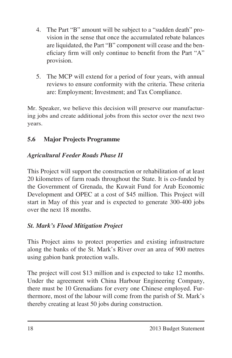- 4. The Part "B" amount will be subject to a "sudden death" provision in the sense that once the accumulated rebate balances are liquidated, the Part "B" component will cease and the beneficiary firm will only continue to benefit from the Part "A" provision.
- 5. The MCP will extend for a period of four years, with annual reviews to ensure conformity with the criteria. These criteria are: Employment; Investment; and Tax Compliance.

Mr. Speaker, we believe this decision will preserve our manufacturing jobs and create additional jobs from this sector over the next two years.

# **5.6 Major Projects Programme**

# *Agricultural Feeder Roads Phase II*

This Project will support the construction or rehabilitation of at least 20 kilometres of farm roads throughout the State. It is co-funded by the Government of Grenada, the Kuwait Fund for Arab Economic Development and OPEC at a cost of \$45 million. This Project will start in May of this year and is expected to generate 300-400 jobs over the next 18 months.

# *St. Mark's Flood Mitigation Project*

This Project aims to protect properties and existing infrastructure along the banks of the St. Mark's River over an area of 900 metres using gabion bank protection walls.

The project will cost \$13 million and is expected to take 12 months. Under the agreement with China Harbour Engineering Company, there must be 10 Grenadians for every one Chinese employed. Furthermore, most of the labour will come from the parish of St. Mark's thereby creating at least 50 jobs during construction.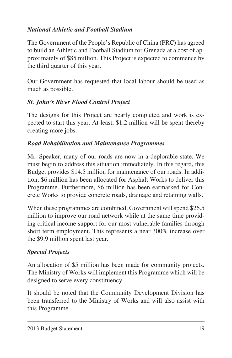# *National Athletic and Football Stadium*

The Government of the People's Republic of China (PRC) has agreed to build an Athletic and Football Stadium for Grenada at a cost of approximately of \$85 million. This Project is expected to commence by the third quarter of this year.

Our Government has requested that local labour should be used as much as possible.

# *St. John's River Flood Control Project*

The designs for this Project are nearly completed and work is expected to start this year. At least, \$1.2 million will be spent thereby creating more jobs.

# *Road Rehabilitation and Maintenance Programmes*

Mr. Speaker, many of our roads are now in a deplorable state. We must begin to address this situation immediately. In this regard, this Budget provides \$14.5 million for maintenance of our roads. In addition, \$6 million has been allocated for Asphalt Works to deliver this Programme. Furthermore, \$6 million has been earmarked for Concrete Works to provide concrete roads, drainage and retaining walls.

When these programmes are combined, Government will spend \$26.5 million to improve our road network while at the same time providing critical income support for our most vulnerable families through short term employment. This represents a near 300% increase over the \$9.9 million spent last year.

# *Special Projects*

An allocation of \$5 million has been made for community projects. The Ministry of Works will implement this Programme which will be designed to serve every constituency.

It should be noted that the Community Development Division has been transferred to the Ministry of Works and will also assist with this Programme.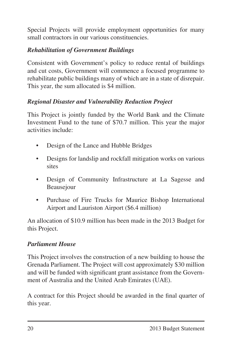Special Projects will provide employment opportunities for many small contractors in our various constituencies.

## *Rehabilitation of Government Buildings*

Consistent with Government's policy to reduce rental of buildings and cut costs, Government will commence a focused programme to rehabilitate public buildings many of which are in a state of disrepair. This year, the sum allocated is \$4 million.

## *Regional Disaster and Vulnerability Reduction Project*

This Project is jointly funded by the World Bank and the Climate Investment Fund to the tune of \$70.7 million. This year the major activities include:

- Design of the Lance and Hubble Bridges
- Designs for landslip and rockfall mitigation works on various **sites**
- • Design of Community Infrastructure at La Sagesse and Beausejour
- Purchase of Fire Trucks for Maurice Bishop International Airport and Lauriston Airport (\$6.4 million)

An allocation of \$10.9 million has been made in the 2013 Budget for this Project.

#### *Parliament House*

This Project involves the construction of a new building to house the Grenada Parliament. The Project will cost approximately \$30 million and will be funded with significant grant assistance from the Government of Australia and the United Arab Emirates (UAE).

A contract for this Project should be awarded in the final quarter of this year.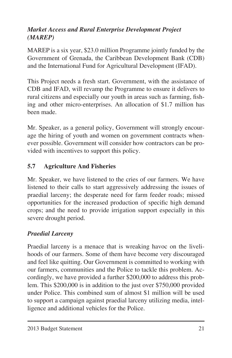# *Market Access and Rural Enterprise Development Project (MAREP)*

MAREP is a six year, \$23.0 million Programme jointly funded by the Government of Grenada, the Caribbean Development Bank (CDB) and the International Fund for Agricultural Development (IFAD).

This Project needs a fresh start. Government, with the assistance of CDB and IFAD, will revamp the Programme to ensure it delivers to rural citizens and especially our youth in areas such as farming, fishing and other micro-enterprises. An allocation of \$1.7 million has been made.

Mr. Speaker, as a general policy, Government will strongly encourage the hiring of youth and women on government contracts whenever possible. Government will consider how contractors can be provided with incentives to support this policy.

## **5.7 Agriculture And Fisheries**

Mr. Speaker, we have listened to the cries of our farmers. We have listened to their calls to start aggressively addressing the issues of praedial larceny; the desperate need for farm feeder roads; missed opportunities for the increased production of specific high demand crops; and the need to provide irrigation support especially in this severe drought period.

#### *Praedial Larceny*

Praedial larceny is a menace that is wreaking havoc on the livelihoods of our farmers. Some of them have become very discouraged and feel like quitting. Our Government is committed to working with our farmers, communities and the Police to tackle this problem. Accordingly, we have provided a further \$200,000 to address this problem. This \$200,000 is in addition to the just over \$750,000 provided under Police. This combined sum of almost \$1 million will be used to support a campaign against praedial larceny utilizing media, intelligence and additional vehicles for the Police.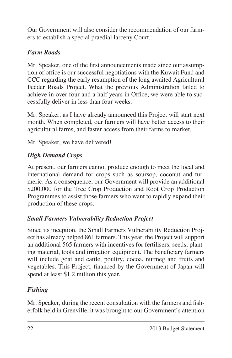Our Government will also consider the recommendation of our farmers to establish a special praedial larceny Court.

# *Farm Roads*

Mr. Speaker, one of the first announcements made since our assumption of office is our successful negotiations with the Kuwait Fund and CCC regarding the early resumption of the long awaited Agricultural Feeder Roads Project. What the previous Administration failed to achieve in over four and a half years in Office, we were able to successfully deliver in less than four weeks.

Mr. Speaker, as I have already announced this Project will start next month. When completed, our farmers will have better access to their agricultural farms, and faster access from their farms to market.

Mr. Speaker, we have delivered!

# *High Demand Crops*

At present, our farmers cannot produce enough to meet the local and international demand for crops such as soursop, coconut and turmeric. As a consequence, our Government will provide an additional \$200,000 for the Tree Crop Production and Root Crop Production Programmes to assist those farmers who want to rapidly expand their production of these crops.

## *Small Farmers Vulnerability Reduction Project*

Since its inception, the Small Farmers Vulnerability Reduction Project has already helped 861 farmers. This year, the Project will support an additional 565 farmers with incentives for fertilisers, seeds, planting material, tools and irrigation equipment. The beneficiary farmers will include goat and cattle, poultry, cocoa, nutmeg and fruits and vegetables. This Project, financed by the Government of Japan will spend at least \$1.2 million this year.

# *Fishing*

Mr. Speaker, during the recent consultation with the farmers and fisherfolk held in Grenville, it was brought to our Government's attention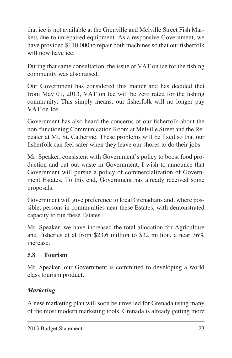that ice is not available at the Grenville and Melville Street Fish Markets due to unrepaired equipment. As a responsive Government, we have provided \$110,000 to repair both machines so that our fisherfolk will now have ice.

During that same consultation, the issue of VAT on ice for the fishing community was also raised.

Our Government has considered this matter and has decided that from May 01, 2013, VAT on Ice will be zero rated for the fishing community. This simply means, our fisherfolk will no longer pay VAT on Ice.

Government has also heard the concerns of our fisherfolk about the non-functioning Communication Room at Melville Street and the Repeater at Mt. St. Catherine. These problems will be fixed so that our fisherfolk can feel safer when they leave our shores to do their jobs.

Mr. Speaker, consistent with Government's policy to boost food production and cut out waste in Government, I wish to announce that Government will pursue a policy of commercialization of Government Estates. To this end, Government has already received some proposals.

Government will give preference to local Grenadians and, where possible, persons in communities near these Estates, with demonstrated capacity to run these Estates.

Mr. Speaker, we have increased the total allocation for Agriculture and Fisheries et al from \$23.6 million to \$32 million, a near 36% increase.

## **5.8 Tourism**

Mr. Speaker, our Government is committed to developing a world class tourism product.

# *Marketing*

A new marketing plan will soon be unveiled for Grenada using many of the most modern marketing tools. Grenada is already getting more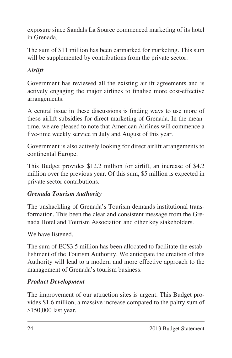exposure since Sandals La Source commenced marketing of its hotel in Grenada.

The sum of \$11 million has been earmarked for marketing. This sum will be supplemented by contributions from the private sector.

# *Airlift*

Government has reviewed all the existing airlift agreements and is actively engaging the major airlines to finalise more cost-effective arrangements.

A central issue in these discussions is finding ways to use more of these airlift subsidies for direct marketing of Grenada. In the meantime, we are pleased to note that American Airlines will commence a five-time weekly service in July and August of this year.

Government is also actively looking for direct airlift arrangements to continental Europe.

This Budget provides \$12.2 million for airlift, an increase of \$4.2 million over the previous year. Of this sum, \$5 million is expected in private sector contributions.

## *Grenada Tourism Authority*

The unshackling of Grenada's Tourism demands institutional transformation. This been the clear and consistent message from the Grenada Hotel and Tourism Association and other key stakeholders.

We have listened.

The sum of EC\$3.5 million has been allocated to facilitate the establishment of the Tourism Authority. We anticipate the creation of this Authority will lead to a modern and more effective approach to the management of Grenada's tourism business.

## *Product Development*

The improvement of our attraction sites is urgent. This Budget provides \$1.6 million, a massive increase compared to the paltry sum of \$150,000 last year.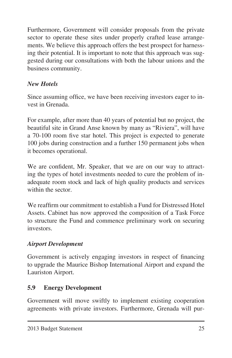Furthermore, Government will consider proposals from the private sector to operate these sites under properly crafted lease arrangements. We believe this approach offers the best prospect for harnessing their potential. It is important to note that this approach was suggested during our consultations with both the labour unions and the business community.

# *New Hotels*

Since assuming office, we have been receiving investors eager to invest in Grenada.

For example, after more than 40 years of potential but no project, the beautiful site in Grand Anse known by many as "Riviera", will have a 70-100 room five star hotel. This project is expected to generate 100 jobs during construction and a further 150 permanent jobs when it becomes operational.

We are confident, Mr. Speaker, that we are on our way to attracting the types of hotel investments needed to cure the problem of inadequate room stock and lack of high quality products and services within the sector.

We reaffirm our commitment to establish a Fund for Distressed Hotel Assets. Cabinet has now approved the composition of a Task Force to structure the Fund and commence preliminary work on securing investors.

## *Airport Development*

Government is actively engaging investors in respect of financing to upgrade the Maurice Bishop International Airport and expand the Lauriston Airport.

## **5.9 Energy Development**

Government will move swiftly to implement existing cooperation agreements with private investors. Furthermore, Grenada will pur-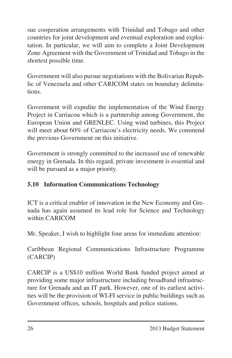sue cooperation arrangements with Trinidad and Tobago and other countries for joint development and eventual exploration and exploitation. In particular, we will aim to complete a Joint Development Zone Agreement with the Government of Trinidad and Tobago in the shortest possible time.

Government will also pursue negotiations with the Bolivarian Republic of Venezuela and other CARICOM states on boundary delimitations.

Government will expedite the implementation of the Wind Energy Project in Carriacou which is a partnership among Government, the European Union and GRENLEC. Using wind turbines, this Project will meet about 60% of Carriacou's electricity needs. We commend the previous Government on this initiative.

Government is strongly committed to the increased use of renewable energy in Grenada. In this regard, private investment is essential and will be pursued as a major priority.

## **5.10 Information Communications Technology**

ICT is a critical enabler of innovation in the New Economy and Grenada has again assumed its lead role for Science and Technology within CARICOM

Mr. Speaker, I wish to highlight four areas for immediate attention:

Caribbean Regional Communications Infrastructure Programme (CARCIP)

CARCIP is a US\$10 million World Bank funded project aimed at providing some major infrastructure including broadband infrastructure for Grenada and an IT park. However, one of its earliest activities will be the provision of WI-FI service in public buildings such as Government offices, schools, hospitals and police stations.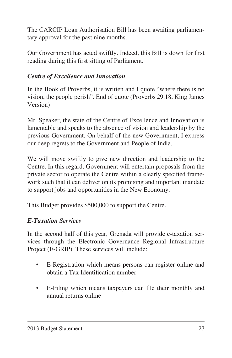The CARCIP Loan Authorisation Bill has been awaiting parliamentary approval for the past nine months.

Our Government has acted swiftly. Indeed, this Bill is down for first reading during this first sitting of Parliament.

## *Centre of Excellence and Innovation*

In the Book of Proverbs, it is written and I quote "where there is no vision, the people perish". End of quote (Proverbs 29.18, King James Version)

Mr. Speaker, the state of the Centre of Excellence and Innovation is lamentable and speaks to the absence of vision and leadership by the previous Government. On behalf of the new Government, I express our deep regrets to the Government and People of India.

We will move swiftly to give new direction and leadership to the Centre. In this regard, Government will entertain proposals from the private sector to operate the Centre within a clearly specified framework such that it can deliver on its promising and important mandate to support jobs and opportunities in the New Economy.

This Budget provides \$500,000 to support the Centre.

#### *E-Taxation Services*

In the second half of this year, Grenada will provide e-taxation services through the Electronic Governance Regional Infrastructure Project (E-GRIP). These services will include:

- • E-Registration which means persons can register online and obtain a Tax Identification number
- • E-Filing which means taxpayers can file their monthly and annual returns online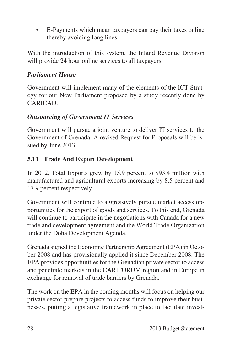E-Payments which mean taxpayers can pay their taxes online thereby avoiding long lines.

With the introduction of this system, the Inland Revenue Division will provide 24 hour online services to all taxpayers.

#### *Parliament House*

Government will implement many of the elements of the ICT Strategy for our New Parliament proposed by a study recently done by CARICAD.

#### *Outsourcing of Government IT Services*

Government will pursue a joint venture to deliver IT services to the Government of Grenada. A revised Request for Proposals will be issued by June 2013.

#### **5.11 Trade And Export Development**

In 2012, Total Exports grew by 15.9 percent to \$93.4 million with manufactured and agricultural exports increasing by 8.5 percent and 17.9 percent respectively.

Government will continue to aggressively pursue market access opportunities for the export of goods and services. To this end, Grenada will continue to participate in the negotiations with Canada for a new trade and development agreement and the World Trade Organization under the Doha Development Agenda.

Grenada signed the Economic Partnership Agreement (EPA) in October 2008 and has provisionally applied it since December 2008. The EPA provides opportunities for the Grenadian private sector to access and penetrate markets in the CARIFORUM region and in Europe in exchange for removal of trade barriers by Grenada.

The work on the EPA in the coming months will focus on helping our private sector prepare projects to access funds to improve their businesses, putting a legislative framework in place to facilitate invest-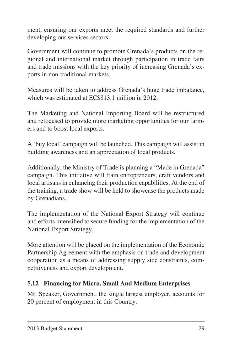ment, ensuring our exports meet the required standards and further developing our services sectors.

Government will continue to promote Grenada's products on the regional and international market through participation in trade fairs and trade missions with the key priority of increasing Grenada's exports in non-traditional markets.

Measures will be taken to address Grenada's huge trade imbalance, which was estimated at EC\$813.1 million in 2012.

The Marketing and National Importing Board will be restructured and refocused to provide more marketing opportunities for our farmers and to boost local exports.

A 'buy local' campaign will be launched. This campaign will assist in building awareness and an appreciation of local products.

Additionally, the Ministry of Trade is planning a "Made in Grenada" campaign. This initiative will train entrepreneurs, craft vendors and local artisans in enhancing their production capabilities. At the end of the training, a trade show will be held to showcase the products made by Grenadians.

The implementation of the National Export Strategy will continue and efforts intensified to secure funding for the implementation of the National Export Strategy.

More attention will be placed on the implementation of the Economic Partnership Agreement with the emphasis on trade and development cooperation as a means of addressing supply side constraints, competitiveness and export development.

## **5.12 Financing for Micro, Small And Medium Enterprises**

Mr. Speaker, Government, the single largest employer, accounts for 20 percent of employment in this Country.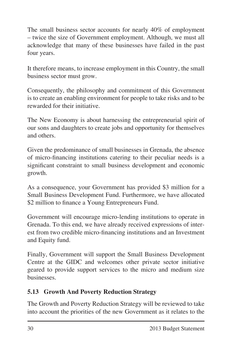The small business sector accounts for nearly 40% of employment – twice the size of Government employment. Although, we must all acknowledge that many of these businesses have failed in the past four years.

It therefore means, to increase employment in this Country, the small business sector must grow.

Consequently, the philosophy and commitment of this Government is to create an enabling environment for people to take risks and to be rewarded for their initiative.

The New Economy is about harnessing the entrepreneurial spirit of our sons and daughters to create jobs and opportunity for themselves and others.

Given the predominance of small businesses in Grenada, the absence of micro-financing institutions catering to their peculiar needs is a significant constraint to small business development and economic growth.

As a consequence, your Government has provided \$3 million for a Small Business Development Fund. Furthermore, we have allocated \$2 million to finance a Young Entrepreneurs Fund.

Government will encourage micro-lending institutions to operate in Grenada. To this end, we have already received expressions of interest from two credible micro-financing institutions and an Investment and Equity fund.

Finally, Government will support the Small Business Development Centre at the GIDC and welcomes other private sector initiative geared to provide support services to the micro and medium size businesses.

# **5.13 Growth And Poverty Reduction Strategy**

The Growth and Poverty Reduction Strategy will be reviewed to take into account the priorities of the new Government as it relates to the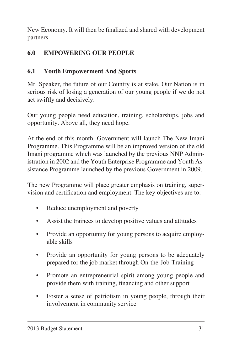New Economy. It will then be finalized and shared with development partners.

# **6.0 EMPOWERING OUR PEOPLE**

# **6.1 Youth Empowerment And Sports**

Mr. Speaker, the future of our Country is at stake. Our Nation is in serious risk of losing a generation of our young people if we do not act swiftly and decisively.

Our young people need education, training, scholarships, jobs and opportunity. Above all, they need hope.

At the end of this month, Government will launch The New Imani Programme. This Programme will be an improved version of the old Imani programme which was launched by the previous NNP Administration in 2002 and the Youth Enterprise Programme and Youth Assistance Programme launched by the previous Government in 2009.

The new Programme will place greater emphasis on training, supervision and certification and employment. The key objectives are to:

- Reduce unemployment and poverty
- Assist the trainees to develop positive values and attitudes
- Provide an opportunity for young persons to acquire employable skills
- Provide an opportunity for young persons to be adequately prepared for the job market through On-the-Job-Training
- Promote an entrepreneurial spirit among young people and provide them with training, financing and other support
- Foster a sense of patriotism in young people, through their involvement in community service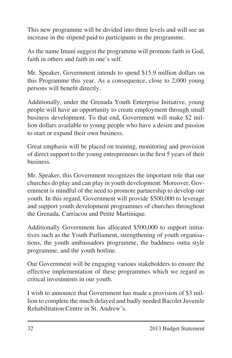This new programme will be divided into three levels and will see an increase in the stipend paid to participants in the programme.

As the name Imani suggest the programme will promote faith in God, faith in others and faith in one's self.

Mr. Speaker, Government intends to spend \$15.9 million dollars on this Programme this year. As a consequence, close to 2,000 young persons will benefit directly.

Additionally, under the Grenada Youth Enterprise Initiative, young people will have an opportunity to create employment through small business development. To that end, Government will make \$2 million dollars available to young people who have a desire and passion to start or expand their own business.

Great emphasis will be placed on training, monitoring and provision of direct support to the young entrepreneurs in the first 5 years of their business.

Mr. Speaker, this Government recognizes the important role that our churches do play and can play in youth development. Moreover, Government is mindful of the need to promote partnership to develop our youth. In this regard, Government will provide \$500,000 to leverage and support youth development programmes of churches throughout the Grenada, Carriacou and Petite Martinique.

Additionally Government has allocated \$500,000 to support initiatives such as the Youth Parliament, strengthening of youth organisations, the youth ambassadors programme, the baddness outta style programme, and the youth hotline.

Our Government will be engaging various stakeholders to ensure the effective implementation of these programmes which we regard as critical investments in our youth.

I wish to announce that Government has made a provision of \$3 million to complete the much delayed and badly needed Bacolet Juvenile Rehabilitation Centre in St. Andrew's.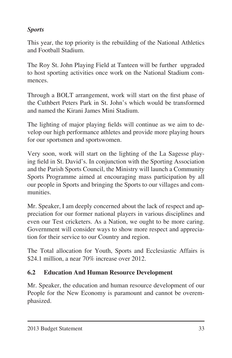## *Sports*

This year, the top priority is the rebuilding of the National Athletics and Football Stadium.

The Roy St. John Playing Field at Tanteen will be further upgraded to host sporting activities once work on the National Stadium commences.

Through a BOLT arrangement, work will start on the first phase of the Cuthbert Peters Park in St. John's which would be transformed and named the Kirani James Mini Stadium.

The lighting of major playing fields will continue as we aim to develop our high performance athletes and provide more playing hours for our sportsmen and sportswomen.

Very soon, work will start on the lighting of the La Sagesse playing field in St. David's. In conjunction with the Sporting Association and the Parish Sports Council, the Ministry will launch a Community Sports Programme aimed at encouraging mass participation by all our people in Sports and bringing the Sports to our villages and communities.

Mr. Speaker, I am deeply concerned about the lack of respect and appreciation for our former national players in various disciplines and even our Test cricketers. As a Nation, we ought to be more caring. Government will consider ways to show more respect and appreciation for their service to our Country and region.

The Total allocation for Youth, Sports and Ecclesiastic Affairs is \$24.1 million, a near 70% increase over 2012.

## **6.2 Education And Human Resource Development**

Mr. Speaker, the education and human resource development of our People for the New Economy is paramount and cannot be overemphasized.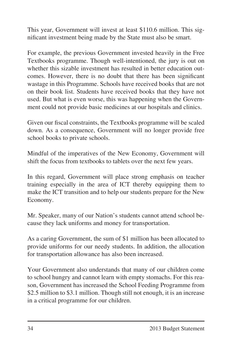This year, Government will invest at least \$110.6 million. This significant investment being made by the State must also be smart.

For example, the previous Government invested heavily in the Free Textbooks programme. Though well-intentioned, the jury is out on whether this sizable investment has resulted in better education outcomes. However, there is no doubt that there has been significant wastage in this Programme. Schools have received books that are not on their book list. Students have received books that they have not used. But what is even worse, this was happening when the Government could not provide basic medicines at our hospitals and clinics.

Given our fiscal constraints, the Textbooks programme will be scaled down. As a consequence, Government will no longer provide free school books to private schools.

Mindful of the imperatives of the New Economy, Government will shift the focus from textbooks to tablets over the next few years.

In this regard, Government will place strong emphasis on teacher training especially in the area of ICT thereby equipping them to make the ICT transition and to help our students prepare for the New Economy.

Mr. Speaker, many of our Nation's students cannot attend school because they lack uniforms and money for transportation.

As a caring Government, the sum of \$1 million has been allocated to provide uniforms for our needy students. In addition, the allocation for transportation allowance has also been increased.

Your Government also understands that many of our children come to school hungry and cannot learn with empty stomachs. For this reason, Government has increased the School Feeding Programme from \$2.5 million to \$3.1 million. Though still not enough, it is an increase in a critical programme for our children.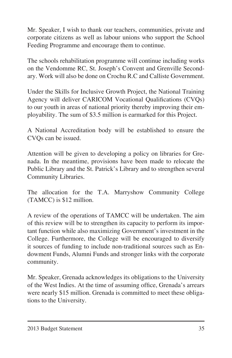Mr. Speaker, I wish to thank our teachers, communities, private and corporate citizens as well as labour unions who support the School Feeding Programme and encourage them to continue.

The schools rehabilitation programme will continue including works on the Vendomme RC, St. Joseph's Convent and Grenville Secondary. Work will also be done on Crochu R.C and Calliste Government.

Under the Skills for Inclusive Growth Project, the National Training Agency will deliver CARICOM Vocational Qualifications (CVQs) to our youth in areas of national priority thereby improving their employability. The sum of \$3.5 million is earmarked for this Project.

A National Accreditation body will be established to ensure the CVQs can be issued.

Attention will be given to developing a policy on libraries for Grenada. In the meantime, provisions have been made to relocate the Public Library and the St. Patrick's Library and to strengthen several Community Libraries.

The allocation for the T.A. Marryshow Community College (TAMCC) is \$12 million.

A review of the operations of TAMCC will be undertaken. The aim of this review will be to strengthen its capacity to perform its important function while also maximizing Government's investment in the College. Furthermore, the College will be encouraged to diversify it sources of funding to include non-traditional sources such as Endowment Funds, Alumni Funds and stronger links with the corporate community.

Mr. Speaker, Grenada acknowledges its obligations to the University of the West Indies. At the time of assuming office, Grenada's arrears were nearly \$15 million. Grenada is committed to meet these obligations to the University.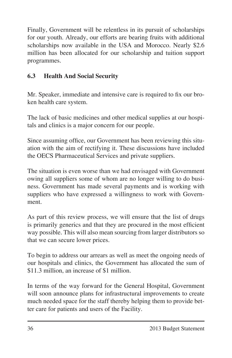Finally, Government will be relentless in its pursuit of scholarships for our youth. Already, our efforts are bearing fruits with additional scholarships now available in the USA and Morocco. Nearly \$2.6 million has been allocated for our scholarship and tuition support programmes.

# **6.3 Health And Social Security**

Mr. Speaker, immediate and intensive care is required to fix our broken health care system.

The lack of basic medicines and other medical supplies at our hospitals and clinics is a major concern for our people.

Since assuming office, our Government has been reviewing this situation with the aim of rectifying it. These discussions have included the OECS Pharmaceutical Services and private suppliers.

The situation is even worse than we had envisaged with Government owing all suppliers some of whom are no longer willing to do business. Government has made several payments and is working with suppliers who have expressed a willingness to work with Government.

As part of this review process, we will ensure that the list of drugs is primarily generics and that they are procured in the most efficient way possible. This will also mean sourcing from larger distributors so that we can secure lower prices.

To begin to address our arrears as well as meet the ongoing needs of our hospitals and clinics, the Government has allocated the sum of \$11.3 million, an increase of \$1 million.

In terms of the way forward for the General Hospital, Government will soon announce plans for infrastructural improvements to create much needed space for the staff thereby helping them to provide better care for patients and users of the Facility.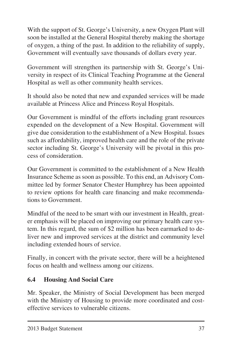With the support of St. George's University, a new Oxygen Plant will soon be installed at the General Hospital thereby making the shortage of oxygen, a thing of the past. In addition to the reliability of supply, Government will eventually save thousands of dollars every year.

Government will strengthen its partnership with St. George's University in respect of its Clinical Teaching Programme at the General Hospital as well as other community health services.

It should also be noted that new and expanded services will be made available at Princess Alice and Princess Royal Hospitals.

Our Government is mindful of the efforts including grant resources expended on the development of a New Hospital. Government will give due consideration to the establishment of a New Hospital. Issues such as affordability, improved health care and the role of the private sector including St. George's University will be pivotal in this process of consideration.

Our Government is committed to the establishment of a New Health Insurance Scheme as soon as possible. To this end, an Advisory Committee led by former Senator Chester Humphrey has been appointed to review options for health care financing and make recommendations to Government.

Mindful of the need to be smart with our investment in Health, greater emphasis will be placed on improving our primary health care system. In this regard, the sum of \$2 million has been earmarked to deliver new and improved services at the district and community level including extended hours of service.

Finally, in concert with the private sector, there will be a heightened focus on health and wellness among our citizens.

# **6.4 Housing And Social Care**

Mr. Speaker, the Ministry of Social Development has been merged with the Ministry of Housing to provide more coordinated and costeffective services to vulnerable citizens.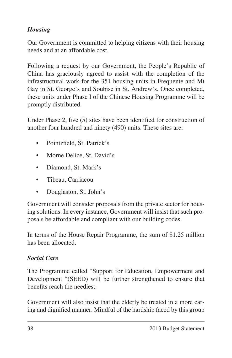# *Housing*

Our Government is committed to helping citizens with their housing needs and at an affordable cost.

Following a request by our Government, the People's Republic of China has graciously agreed to assist with the completion of the infrastructural work for the 351 housing units in Frequente and Mt Gay in St. George's and Soubise in St. Andrew's. Once completed, these units under Phase I of the Chinese Housing Programme will be promptly distributed.

Under Phase 2, five (5) sites have been identified for construction of another four hundred and ninety (490) units. These sites are:

- Pointzfield, St. Patrick's
- Morne Delice, St. David's
- Diamond, St. Mark's
- • Tibeau, Carriacou
- • Douglaston, St. John's

Government will consider proposals from the private sector for housing solutions. In every instance, Government will insist that such proposals be affordable and compliant with our building codes.

In terms of the House Repair Programme, the sum of \$1.25 million has been allocated.

## *Social Care*

The Programme called "Support for Education, Empowerment and Development "(SEED) will be further strengthened to ensure that benefits reach the neediest.

Government will also insist that the elderly be treated in a more caring and dignified manner. Mindful of the hardship faced by this group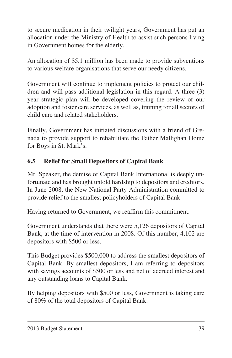to secure medication in their twilight years, Government has put an allocation under the Ministry of Health to assist such persons living in Government homes for the elderly.

An allocation of \$5.1 million has been made to provide subventions to various welfare organisations that serve our needy citizens.

Government will continue to implement policies to protect our children and will pass additional legislation in this regard. A three (3) year strategic plan will be developed covering the review of our adoption and foster care services, as well as, training for all sectors of child care and related stakeholders.

Finally, Government has initiated discussions with a friend of Grenada to provide support to rehabilitate the Father Mallighan Home for Boys in St. Mark's.

## **6.5 Relief for Small Depositors of Capital Bank**

Mr. Speaker, the demise of Capital Bank International is deeply unfortunate and has brought untold hardship to depositors and creditors. In June 2008, the New National Party Administration committed to provide relief to the smallest policyholders of Capital Bank.

Having returned to Government, we reaffirm this commitment.

Government understands that there were 5,126 depositors of Capital Bank, at the time of intervention in 2008. Of this number, 4,102 are depositors with \$500 or less.

This Budget provides \$500,000 to address the smallest depositors of Capital Bank. By smallest depositors, I am referring to depositors with savings accounts of \$500 or less and net of accrued interest and any outstanding loans to Capital Bank.

By helping depositors with \$500 or less, Government is taking care of 80% of the total depositors of Capital Bank.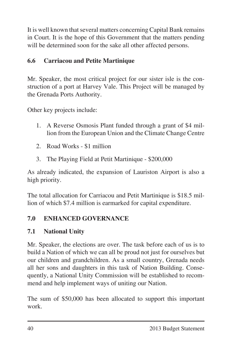It is well known that several matters concerning Capital Bank remains in Court. It is the hope of this Government that the matters pending will be determined soon for the sake all other affected persons.

## **6.6 Carriacou and Petite Martinique**

Mr. Speaker, the most critical project for our sister isle is the construction of a port at Harvey Vale. This Project will be managed by the Grenada Ports Authority.

Other key projects include:

- 1. A Reverse Osmosis Plant funded through a grant of \$4 million from the European Union and the Climate Change Centre
- 2. Road Works \$1 million
- 3. The Playing Field at Petit Martinique \$200,000

As already indicated, the expansion of Lauriston Airport is also a high priority.

The total allocation for Carriacou and Petit Martinique is \$18.5 million of which \$7.4 million is earmarked for capital expenditure.

# **7.0 ENHANCED GOVERNANCE**

# **7.1 National Unity**

Mr. Speaker, the elections are over. The task before each of us is to build a Nation of which we can all be proud not just for ourselves but our children and grandchildren. As a small country, Grenada needs all her sons and daughters in this task of Nation Building. Consequently, a National Unity Commission will be established to recommend and help implement ways of uniting our Nation.

The sum of \$50,000 has been allocated to support this important work.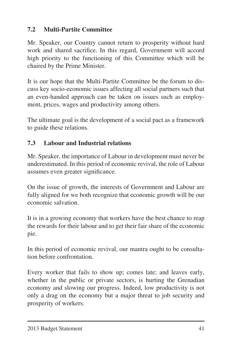## **7.2 Multi-Partite Committee**

Mr. Speaker, our Country cannot return to prosperity without hard work and shared sacrifice. In this regard, Government will accord high priority to the functioning of this Committee which will be chaired by the Prime Minister.

It is our hope that the Multi-Partite Committee be the forum to discuss key socio-economic issues affecting all social partners such that an even-handed approach can be taken on issues such as employment, prices, wages and productivity among others.

The ultimate goal is the development of a social pact as a framework to guide these relations.

## **7.3 Labour and Industrial relations**

Mr. Speaker, the importance of Labour in development must never be underestimated. In this period of economic revival, the role of Labour assumes even greater significance.

On the issue of growth, the interests of Government and Labour are fully aligned for we both recognize that economic growth will be our economic salvation.

It is in a growing economy that workers have the best chance to reap the rewards for their labour and to get their fair share of the economic pie.

In this period of economic revival, our mantra ought to be consultation before confrontation.

Every worker that fails to show up; comes late; and leaves early, whether in the public or private sectors, is hurting the Grenadian economy and slowing our progress. Indeed, low productivity is not only a drag on the economy but a major threat to job security and prosperity of workers.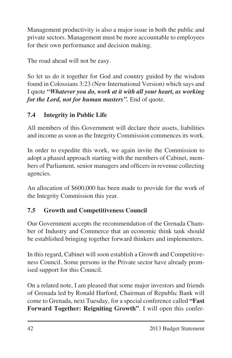Management productivity is also a major issue in both the public and private sectors. Management must be more accountable to employees for their own performance and decision making.

The road ahead will not be easy.

So let us do it together for God and country guided by the wisdom found in Colossians 3:23 (New International Version) which says and I quote *"Whatever you do, work at it with all your heart, as working for the Lord, not for human masters".* End of quote.

# **7.4 Integrity in Public Life**

All members of this Government will declare their assets, liabilities and income as soon as the Integrity Commission commences its work.

In order to expedite this work, we again invite the Commission to adopt a phased approach starting with the members of Cabinet, members of Parliament, senior managers and officers in revenue collecting agencies.

An allocation of \$600,000 has been made to provide for the work of the Integrity Commission this year.

# **7.5 Growth and Competitiveness Council**

Our Government accepts the recommendation of the Grenada Chamber of Industry and Commerce that an economic think tank should be established bringing together forward thinkers and implementers.

In this regard, Cabinet will soon establish a Growth and Competitiveness Council. Some persons in the Private sector have already promised support for this Council.

On a related note, I am pleased that some major investors and friends of Grenada led by Ronald Harford, Chairman of Republic Bank will come to Grenada, next Tuesday, for a special conference called **"Fast Forward Together: Reigniting Growth"**. I will open this confer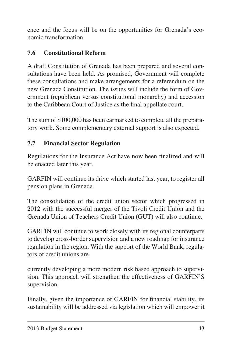ence and the focus will be on the opportunities for Grenada's economic transformation.

## **7.6 Constitutional Reform**

A draft Constitution of Grenada has been prepared and several consultations have been held. As promised, Government will complete these consultations and make arrangements for a referendum on the new Grenada Constitution. The issues will include the form of Government (republican versus constitutional monarchy) and accession to the Caribbean Court of Justice as the final appellate court.

The sum of \$100,000 has been earmarked to complete all the preparatory work. Some complementary external support is also expected.

## **7.7 Financial Sector Regulation**

Regulations for the Insurance Act have now been finalized and will be enacted later this year.

GARFIN will continue its drive which started last year, to register all pension plans in Grenada.

The consolidation of the credit union sector which progressed in 2012 with the successful merger of the Tivoli Credit Union and the Grenada Union of Teachers Credit Union (GUT) will also continue.

GARFIN will continue to work closely with its regional counterparts to develop cross-border supervision and a new roadmap for insurance regulation in the region. With the support of the World Bank, regulators of credit unions are

currently developing a more modern risk based approach to supervision. This approach will strengthen the effectiveness of GARFIN'S supervision.

Finally, given the importance of GARFIN for financial stability, its sustainability will be addressed via legislation which will empower it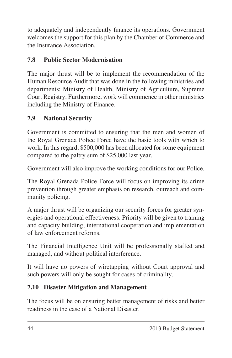to adequately and independently finance its operations. Government welcomes the support for this plan by the Chamber of Commerce and the Insurance Association.

## **7.8 Public Sector Modernisation**

The major thrust will be to implement the recommendation of the Human Resource Audit that was done in the following ministries and departments: Ministry of Health, Ministry of Agriculture, Supreme Court Registry. Furthermore, work will commence in other ministries including the Ministry of Finance.

## **7.9 National Security**

Government is committed to ensuring that the men and women of the Royal Grenada Police Force have the basic tools with which to work. In this regard, \$500,000 has been allocated for some equipment compared to the paltry sum of \$25,000 last year.

Government will also improve the working conditions for our Police.

The Royal Grenada Police Force will focus on improving its crime prevention through greater emphasis on research, outreach and community policing.

A major thrust will be organizing our security forces for greater synergies and operational effectiveness. Priority will be given to training and capacity building; international cooperation and implementation of law enforcement reforms.

The Financial Intelligence Unit will be professionally staffed and managed, and without political interference.

It will have no powers of wiretapping without Court approval and such powers will only be sought for cases of criminality.

## **7.10 Disaster Mitigation and Management**

The focus will be on ensuring better management of risks and better readiness in the case of a National Disaster.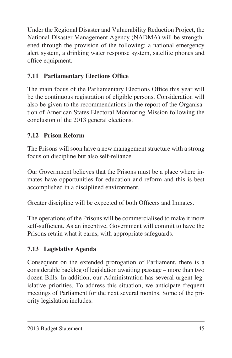Under the Regional Disaster and Vulnerability Reduction Project, the National Disaster Management Agency (NADMA) will be strengthened through the provision of the following: a national emergency alert system, a drinking water response system, satellite phones and office equipment.

# **7.11 Parliamentary Elections Office**

The main focus of the Parliamentary Elections Office this year will be the continuous registration of eligible persons. Consideration will also be given to the recommendations in the report of the Organisation of American States Electoral Monitoring Mission following the conclusion of the 2013 general elections.

# **7.12 Prison Reform**

The Prisons will soon have a new management structure with a strong focus on discipline but also self-reliance.

Our Government believes that the Prisons must be a place where inmates have opportunities for education and reform and this is best accomplished in a disciplined environment.

Greater discipline will be expected of both Officers and Inmates.

The operations of the Prisons will be commercialised to make it more self-sufficient. As an incentive, Government will commit to have the Prisons retain what it earns, with appropriate safeguards.

# **7.13 Legislative Agenda**

Consequent on the extended prorogation of Parliament, there is a considerable backlog of legislation awaiting passage – more than two dozen Bills. In addition, our Administration has several urgent legislative priorities. To address this situation, we anticipate frequent meetings of Parliament for the next several months. Some of the priority legislation includes: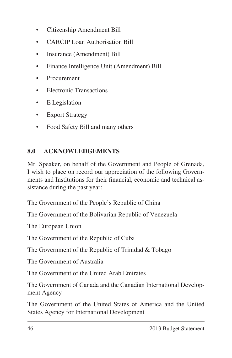- • Citizenship Amendment Bill
- CARCIP Loan Authorisation Bill
- Insurance (Amendment) Bill
- • Finance Intelligence Unit (Amendment) Bill
- **Procurement**
- • Electronic Transactions
- E Legislation
- Export Strategy
- Food Safety Bill and many others

## **8.0 ACKNOWLEDGEMENTS**

Mr. Speaker, on behalf of the Government and People of Grenada, I wish to place on record our appreciation of the following Governments and Institutions for their financial, economic and technical assistance during the past year:

The Government of the People's Republic of China

The Government of the Bolivarian Republic of Venezuela

The European Union

The Government of the Republic of Cuba

The Government of the Republic of Trinidad & Tobago

The Government of Australia

The Government of the United Arab Emirates

The Government of Canada and the Canadian International Development Agency

The Government of the United States of America and the United States Agency for International Development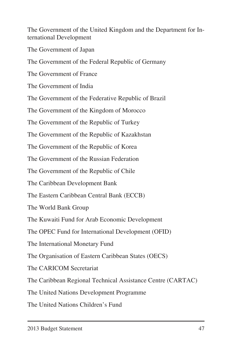The Government of the United Kingdom and the Department for International Development

The Government of Japan

The Government of the Federal Republic of Germany

The Government of France

The Government of India

The Government of the Federative Republic of Brazil

The Government of the Kingdom of Morocco

The Government of the Republic of Turkey

The Government of the Republic of Kazakhstan

The Government of the Republic of Korea

The Government of the Russian Federation

The Government of the Republic of Chile

The Caribbean Development Bank

The Eastern Caribbean Central Bank (ECCB)

The World Bank Group

The Kuwaiti Fund for Arab Economic Development

The OPEC Fund for International Development (OFID)

The International Monetary Fund

The Organisation of Eastern Caribbean States (OECS)

The CARICOM Secretariat

The Caribbean Regional Technical Assistance Centre (CARTAC)

The United Nations Development Programme

The United Nations Children's Fund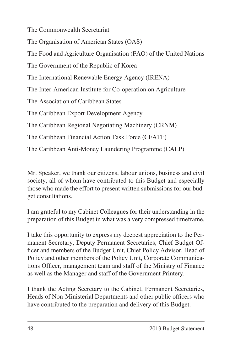The Commonwealth Secretariat

The Organisation of American States (OAS)

The Food and Agriculture Organisation (FAO) of the United Nations

The Government of the Republic of Korea

The International Renewable Energy Agency (IRENA)

The Inter-American Institute for Co-operation on Agriculture

The Association of Caribbean States

The Caribbean Export Development Agency

The Caribbean Regional Negotiating Machinery (CRNM)

The Caribbean Financial Action Task Force (CFATF)

The Caribbean Anti-Money Laundering Programme (CALP)

Mr. Speaker, we thank our citizens, labour unions, business and civil society, all of whom have contributed to this Budget and especially those who made the effort to present written submissions for our budget consultations.

I am grateful to my Cabinet Colleagues for their understanding in the preparation of this Budget in what was a very compressed timeframe.

I take this opportunity to express my deepest appreciation to the Permanent Secretary, Deputy Permanent Secretaries, Chief Budget Officer and members of the Budget Unit, Chief Policy Advisor, Head of Policy and other members of the Policy Unit, Corporate Communications Officer, management team and staff of the Ministry of Finance as well as the Manager and staff of the Government Printery.

I thank the Acting Secretary to the Cabinet, Permanent Secretaries, Heads of Non-Ministerial Departments and other public officers who have contributed to the preparation and delivery of this Budget.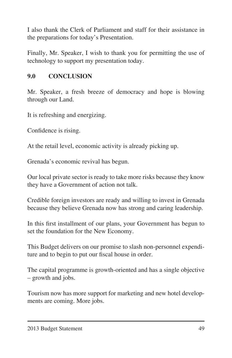I also thank the Clerk of Parliament and staff for their assistance in the preparations for today's Presentation.

Finally, Mr. Speaker, I wish to thank you for permitting the use of technology to support my presentation today.

### **9.0 CONCLUSION**

Mr. Speaker, a fresh breeze of democracy and hope is blowing through our Land.

It is refreshing and energizing.

Confidence is rising.

At the retail level, economic activity is already picking up.

Grenada's economic revival has begun.

Our local private sector is ready to take more risks because they know they have a Government of action not talk.

Credible foreign investors are ready and willing to invest in Grenada because they believe Grenada now has strong and caring leadership.

In this first installment of our plans, your Government has begun to set the foundation for the New Economy.

This Budget delivers on our promise to slash non-personnel expenditure and to begin to put our fiscal house in order.

The capital programme is growth-oriented and has a single objective – growth and jobs.

Tourism now has more support for marketing and new hotel developments are coming. More jobs.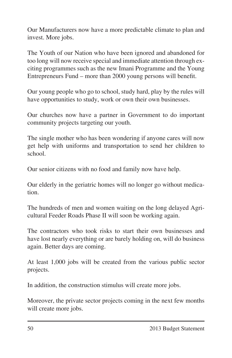Our Manufacturers now have a more predictable climate to plan and invest. More jobs.

The Youth of our Nation who have been ignored and abandoned for too long will now receive special and immediate attention through exciting programmes such as the new Imani Programme and the Young Entrepreneurs Fund – more than 2000 young persons will benefit.

Our young people who go to school, study hard, play by the rules will have opportunities to study, work or own their own businesses.

Our churches now have a partner in Government to do important community projects targeting our youth.

The single mother who has been wondering if anyone cares will now get help with uniforms and transportation to send her children to school.

Our senior citizens with no food and family now have help.

Our elderly in the geriatric homes will no longer go without medication.

The hundreds of men and women waiting on the long delayed Agricultural Feeder Roads Phase II will soon be working again.

The contractors who took risks to start their own businesses and have lost nearly everything or are barely holding on, will do business again. Better days are coming.

At least 1,000 jobs will be created from the various public sector projects.

In addition, the construction stimulus will create more jobs.

Moreover, the private sector projects coming in the next few months will create more jobs.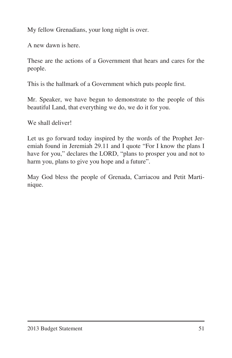My fellow Grenadians, your long night is over.

A new dawn is here.

These are the actions of a Government that hears and cares for the people.

This is the hallmark of a Government which puts people first.

Mr. Speaker, we have begun to demonstrate to the people of this beautiful Land, that everything we do, we do it for you.

We shall deliver!

Let us go forward today inspired by the words of the Prophet Jeremiah found in Jeremiah 29.11 and I quote "For I know the plans I have for you," declares the LORD, "plans to prosper you and not to harm you, plans to give you hope and a future".

May God bless the people of Grenada, Carriacou and Petit Martinique.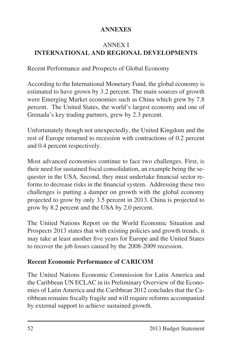### **ANNEXES**

### ANNEX I **INTERNATIONAL AND REGIONAL DEVELOPMENTS**

Recent Performance and Prospects of Global Economy

According to the International Monetary Fund, the global economy is estimated to have grown by 3.2 percent. The main sources of growth were Emerging Market economies such as China which grew by 7.8 percent. The United States, the world's largest economy and one of Grenada's key trading partners, grew by 2.3 percent.

Unfortunately though not unexpectedly, the United Kingdom and the rest of Europe returned to recession with contractions of 0.2 percent and 0.4 percent respectively.

Most advanced economies continue to face two challenges. First, is their need for sustained fiscal consolidation, an example being the sequester in the USA. Second, they must undertake financial sector reforms to decrease risks in the financial system. Addressing these two challenges is putting a damper on growth with the global economy projected to grow by only 3.5 percent in 2013. China is projected to grow by 8.2 percent and the USA by 2.0 percent.

The United Nations Report on the World Economic Situation and Prospects 2013 states that with existing policies and growth trends, it may take at least another five years for Europe and the United States to recover the job losses caused by the 2008-2009 recession.

### **Recent Economic Performance of CARICOM**

The United Nations Economic Commission for Latin America and the Caribbean UN ECLAC in its Preliminary Overview of the Economies of Latin America and the Caribbean 2012 concludes that the Caribbean remains fiscally fragile and will require reforms accompanied by external support to achieve sustained growth.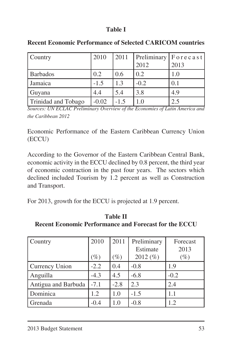### **Table I**

| Country             | 2010    | 2011   |        | $ $ Preliminary $ $ F o r e c a s t $ $ |
|---------------------|---------|--------|--------|-----------------------------------------|
|                     |         |        | 2012   | 2013                                    |
| <b>Barbados</b>     | 0.2     | 0.6    | 0.2    | 1.0                                     |
| Jamaica             | $-1.5$  | 1.3    | $-0.2$ | 0.1                                     |
| Guyana              | 4.4     | 5.4    | 3.8    | 4.9                                     |
| Trinidad and Tobago | $-0.02$ | $-1.5$ | 1.0    | 2.5                                     |

**Recent Economic Performance of Selected CARICOM countries**

*Sources: UN ECLAC Preliminary Overview of the Economies of Latin America and the Caribbean 2012* 

Economic Performance of the Eastern Caribbean Currency Union (ECCU)

According to the Governor of the Eastern Caribbean Central Bank, economic activity in the ECCU declined by 0.8 percent, the third year of economic contraction in the past four years. The sectors which declined included Tourism by 1.2 percent as well as Construction and Transport.

For 2013, growth for the ECCU is projected at 1.9 percent.

| Country             | 2010   | 2011   | Preliminary | Forecast |
|---------------------|--------|--------|-------------|----------|
|                     |        |        | Estimate    | 2013     |
|                     | $(\%)$ | $(\%)$ | 2012 $(\%)$ | $(\%)$   |
| Currency Union      | $-2.2$ | 0.4    | $-0.8$      | 1.9      |
| Anguilla            | $-4.3$ | 4.5    | $-6.8$      | $-0.2$   |
| Antigua and Barbuda | $-7.1$ | $-2.8$ | 2.3         | 2.4      |
| Dominica            | 1.2    | 1.0    | $-1.5$      | 1.1      |
| Grenada             | -0.4   | 1.0    | $-0.8$      | 1.2      |

**Table II Recent Economic Performance and Forecast for the ECCU**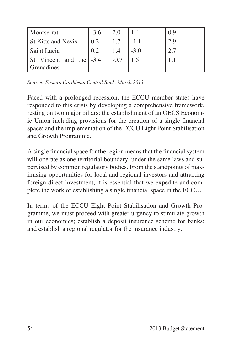| Montserrat                            | $-3.6$ |        | 1.4    | 0.9 |
|---------------------------------------|--------|--------|--------|-----|
| <b>St Kitts and Nevis</b>             | 0.2    |        | $-1.1$ |     |
| Saint Lucia                           | 0.2    |        | $-3.0$ |     |
| St Vincent and the -3.4<br>Grenadines |        | $-0.7$ |        |     |

*Source: Eastern Caribbean Central Bank, March 2013*

Faced with a prolonged recession, the ECCU member states have responded to this crisis by developing a comprehensive framework, resting on two major pillars: the establishment of an OECS Economic Union including provisions for the creation of a single financial space; and the implementation of the ECCU Eight Point Stabilisation and Growth Programme.

A single financial space for the region means that the financial system will operate as one territorial boundary, under the same laws and supervised by common regulatory bodies. From the standpoints of maximising opportunities for local and regional investors and attracting foreign direct investment, it is essential that we expedite and complete the work of establishing a single financial space in the ECCU.

In terms of the ECCU Eight Point Stabilisation and Growth Programme, we must proceed with greater urgency to stimulate growth in our economies; establish a deposit insurance scheme for banks; and establish a regional regulator for the insurance industry.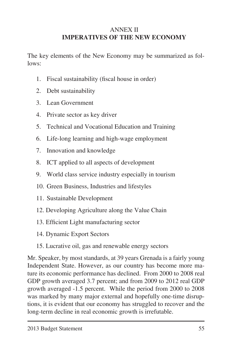### ANNEX II **IMPERATIVES OF THE NEW ECONOMY**

The key elements of the New Economy may be summarized as follows:

- 1. Fiscal sustainability (fiscal house in order)
- 2. Debt sustainability
- 3. Lean Government
- 4. Private sector as key driver
- 5. Technical and Vocational Education and Training
- 6. Life-long learning and high-wage employment
- 7. Innovation and knowledge
- 8. ICT applied to all aspects of development
- 9. World class service industry especially in tourism
- 10. Green Business, Industries and lifestyles
- 11. Sustainable Development
- 12. Developing Agriculture along the Value Chain
- 13. Efficient Light manufacturing sector
- 14. Dynamic Export Sectors
- 15. Lucrative oil, gas and renewable energy sectors

Mr. Speaker, by most standards, at 39 years Grenada is a fairly young Independent State. However, as our country has become more mature its economic performance has declined. From 2000 to 2008 real GDP growth averaged 3.7 percent; and from 2009 to 2012 real GDP growth averaged -1.5 percent. While the period from 2000 to 2008 was marked by many major external and hopefully one-time disruptions, it is evident that our economy has struggled to recover and the long-term decline in real economic growth is irrefutable.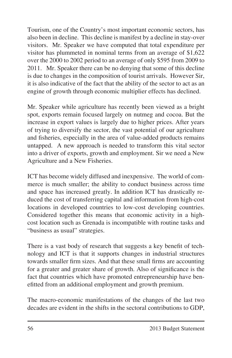Tourism, one of the Country's most important economic sectors, has also been in decline. This decline is manifest by a decline in stay-over visitors. Mr. Speaker we have computed that total expenditure per visitor has plummeted in nominal terms from an average of \$1,622 over the 2000 to 2002 period to an average of only \$595 from 2009 to 2011. Mr. Speaker there can be no denying that some of this decline is due to changes in the composition of tourist arrivals. However Sir, it is also indicative of the fact that the ability of the sector to act as an engine of growth through economic multiplier effects has declined.

Mr. Speaker while agriculture has recently been viewed as a bright spot, exports remain focused largely on nutmeg and cocoa. But the increase in export values is largely due to higher prices. After years of trying to diversify the sector, the vast potential of our agriculture and fisheries, especially in the area of value-added products remains untapped. A new approach is needed to transform this vital sector into a driver of exports, growth and employment. Sir we need a New Agriculture and a New Fisheries.

ICT has become widely diffused and inexpensive. The world of commerce is much smaller; the ability to conduct business across time and space has increased greatly. In addition ICT has drastically reduced the cost of transferring capital and information from high-cost locations in developed countries to low-cost developing countries. Considered together this means that economic activity in a highcost location such as Grenada is incompatible with routine tasks and "business as usual" strategies.

There is a vast body of research that suggests a key benefit of technology and ICT is that it supports changes in industrial structures towards smaller firm sizes. And that these small firms are accounting for a greater and greater share of growth. Also of significance is the fact that countries which have promoted entrepreneurship have benefitted from an additional employment and growth premium.

The macro-economic manifestations of the changes of the last two decades are evident in the shifts in the sectoral contributions to GDP,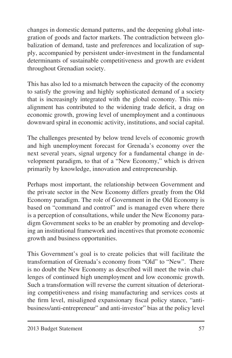changes in domestic demand patterns, and the deepening global integration of goods and factor markets. The contradiction between globalization of demand, taste and preferences and localization of supply, accompanied by persistent under-investment in the fundamental determinants of sustainable competitiveness and growth are evident throughout Grenadian society.

This has also led to a mismatch between the capacity of the economy to satisfy the growing and highly sophisticated demand of a society that is increasingly integrated with the global economy. This misalignment has contributed to the widening trade deficit, a drag on economic growth, growing level of unemployment and a continuous downward spiral in economic activity, institutions, and social capital.

The challenges presented by below trend levels of economic growth and high unemployment forecast for Grenada's economy over the next several years, signal urgency for a fundamental change in development paradigm, to that of a "New Economy," which is driven primarily by knowledge, innovation and entrepreneurship.

Perhaps most important, the relationship between Government and the private sector in the New Economy differs greatly from the Old Economy paradigm. The role of Government in the Old Economy is based on "command and control" and is managed even where there is a perception of consultations, while under the New Economy paradigm Government seeks to be an enabler by promoting and developing an institutional framework and incentives that promote economic growth and business opportunities.

This Government's goal is to create policies that will facilitate the transformation of Grenada's economy from "Old" to "New". There is no doubt the New Economy as described will meet the twin challenges of continued high unemployment and low economic growth. Such a transformation will reverse the current situation of deteriorating competitiveness and rising manufacturing and services costs at the firm level, misaligned expansionary fiscal policy stance, "antibusiness/anti-entrepreneur" and anti-investor" bias at the policy level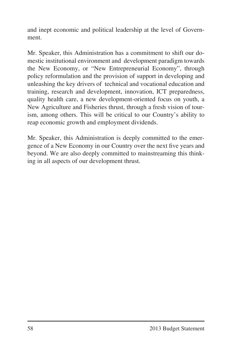and inept economic and political leadership at the level of Government.

Mr. Speaker, this Administration has a commitment to shift our domestic institutional environment and development paradigm towards the New Economy, or "New Entrepreneurial Economy", through policy reformulation and the provision of support in developing and unleashing the key drivers of technical and vocational education and training, research and development, innovation, ICT preparedness, quality health care, a new development-oriented focus on youth, a New Agriculture and Fisheries thrust, through a fresh vision of tourism, among others. This will be critical to our Country's ability to reap economic growth and employment dividends.

Mr. Speaker, this Administration is deeply committed to the emergence of a New Economy in our Country over the next five years and beyond. We are also deeply committed to mainstreaming this thinking in all aspects of our development thrust.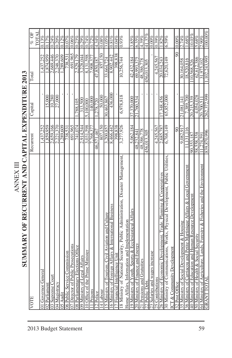| <b>ANNEX II</b>                                                               |             |             |                        |                     |
|-------------------------------------------------------------------------------|-------------|-------------|------------------------|---------------------|
| SUMMARY OF RECURRENT AND CAPITAL EXPENDITURE 2013                             |             |             |                        |                     |
| VOTE                                                                          | Recurrent   | Capital     | Total                  | TOTAL<br>% OF       |
| 01 Governor General                                                           | 1,437,252   |             | 1,437,252              | 0.13%               |
| 02 Parliament                                                                 | ,859,959    | 15,000      | .874,959               | $\frac{92}{110}$    |
| 03 Supreme Court                                                              | 2,659,166   | 10,280      | 2,669,446              | 0.24%               |
| 04 Magistracy                                                                 | 2,221,370   | 27,000      |                        | 0.20%               |
| 05 Audit                                                                      | 289,609     |             | 2,248,370<br>1,289,609 | 0.12%               |
| 06 Public Service Commission                                                  | 738,531     |             | 738,531                | 0.07%               |
| 07 Director of Public Prosecutions                                            | 691,965     |             | 691.965                | 0.06%               |
| 08 Parliamentary Elections Office                                             | 741.074     | 788.105     | 2,529,179              | 0.23%               |
| 09 Ministry of Legal Affairs                                                  | 2,914,544   | 313,500     | 3,228,044              | 0.29%               |
| 10 Office of the Prime Minister                                               | 3,031,598   | 5,100,000   | 8,131,598              | 0.74%               |
| 11 Prisons                                                                    | 7,768,377   | 140,000     | 7.908,377              | 0.72%               |
| 12 Police                                                                     | 46,571,467  | 278,720     | 47,850,187             | 4.34%               |
| 14 Labour                                                                     | 807.150     | 50,000      | 857.150                | 0.08%               |
| 15 Ministry of Tourism, Civil Aviation and Culture                            | 3,200,857   | 30,463,867  | 33,664,724             | 3.05%               |
| 16 Ministry of Foreign Affairs & International Business                       | 8,466,442   | 436,000     | 8,902,442              | $0.81\%$            |
| 17 Financial Intelligence Unit                                                | 398.838     |             | 398.838                | 0.04%               |
| 18 Ministry of National Security, Public Administration, Disaster Management, | 3,277,926   | 6,978,818   | 10,256,744             | 0.93%               |
| Home Affairs, Information and Implementation                                  |             |             |                        |                     |
| 19 Ministry of Youth, Sports & Ecclesiastical Affairs                         | 5,062,184   | 37,370,000  | 42,432,184             | 3.85%               |
| 20 Ministry of Finance and Energy                                             | 48,232,841  | 21,760,534  | 69,993,375             | 6.35%               |
| 21 Pensions and Gratuities                                                    | 48,386,778  |             | 48,386,778             | 4.39%               |
| 22 Public Debt                                                                | 456,013,305 |             | 456,013,305            | 41.37%              |
| 23 Salaries and wages increase                                                |             |             |                        | $\overline{0.00\%}$ |
| 25 Contributions                                                              | 4,245,567   |             | 4,245,567              | $0.39\%$            |
| 26 Ministry of Economic Development, Trade, Planning & Cooperatives           | 2,685,787   | 7.348.456   | 20,034,243             | .82%                |
| 30 Ministry of Communications, Works, Physical Development, Public Utilities, | 6,768,149   | 65,852,000  | 72,620,149             | 6.59%               |
| ICT & Community Development                                                   |             |             |                        |                     |
| 32 Post Office                                                                | $\infty$    |             | $\infty$               | 0.00%               |
| 35 Ministry of Social Development & Housing                                   | 9,082,917   | 21.081.141  | 30,164,058             | 2.74%               |
| 36 Ministry of Carriacou and Petite Martinique Affairs & Local Government     | ,131,116    | 7,389,700   | 18,520,816             | 1.68%               |
| 40 Ministry of Education and Human Resource Development                       | 90,353,187  | 20,215,339  | 10,568,526             | 10.03%              |
| 50 Ministry of Health & Social Security                                       | 58,558,358  | 4,054,028   | 62,612,386             | 5.68%               |
| 64 Ministry of Agriculture, Lands, Forestry & Fisheries and the Environment   | ,274,591    | 20.700.51   | 31,975,102             | 2.90%               |
| <b>GRANT TOTAL</b>                                                            | 839,870,996 | 262,372,999 | $\frac{102.243.995}{$  | 100.00%             |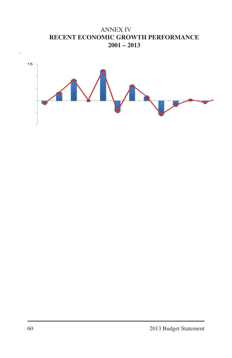ANNEX IV **RECENT ECONOMIC GROWTH PERFORMANCE 2001 – 2013**

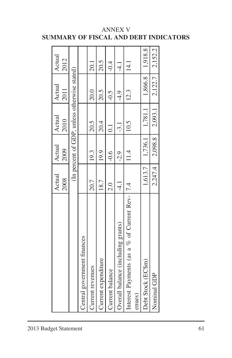|                                                         | Actual<br>2008 | Actual<br>2009 | Actual<br>2010                               | Actual<br>2011      | Actual<br>2012 |
|---------------------------------------------------------|----------------|----------------|----------------------------------------------|---------------------|----------------|
|                                                         |                |                |                                              |                     |                |
|                                                         |                |                | (In percent of GDP, unless otherwise stated) |                     |                |
| Central government finances                             |                |                |                                              |                     |                |
| Current revenues                                        | 20.7           | 19.3           | 20.5                                         | 20.0                | 20.1           |
| Current expenditure                                     | 18.7           | 19.9           | 20.4                                         | 20.5                | 20.5           |
| Current balance                                         | $\frac{0}{20}$ | $-0.6$         | $\overline{\circ}$                           | $-0.5$              | $\dot{0}$ :    |
| Overall balance (including grants)                      | $-4.1$         | $-2.9$         | $-3.1$                                       | $-4.9$              | $\frac{1}{4}$  |
| Interest Payments (as a % of Current Rev-17.4<br>enues) |                | 11.4           | 10.5                                         | 12.3                | 14.1           |
|                                                         |                |                |                                              |                     |                |
| Debt Stock (ECSm)                                       | 1,613.7        | 1,736.1        | 1,781.1                                      | $1,866.8$   1,918.8 |                |
| Nominal GDP                                             | 2,247.4        | 2,098.8        | 2,093.1                                      | 2,122.7             | 2,152.2        |

### ANNEX V **SUMMARY OF FISCAL AND DEBT INDICATORS**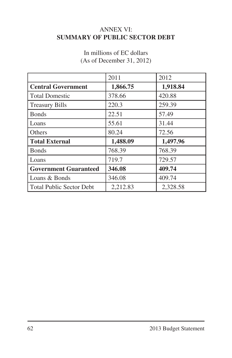### ANNEX VI: **SUMMARY OF PUBLIC SECTOR DEBT**

## In millions of EC dollars (As of December 31, 2012)

|                              | 2011     | 2012     |
|------------------------------|----------|----------|
| <b>Central Government</b>    | 1,866.75 | 1,918.84 |
| <b>Total Domestic</b>        | 378.66   | 420.88   |
| <b>Treasury Bills</b>        | 220.3    | 259.39   |
| <b>Bonds</b>                 | 22.51    | 57.49    |
| Loans                        | 55.61    | 31.44    |
| Others                       | 80.24    | 72.56    |
| <b>Total External</b>        | 1,488.09 | 1,497.96 |
| <b>Bonds</b>                 | 768.39   | 768.39   |
| Loans                        | 719.7    | 729.57   |
| <b>Government Guaranteed</b> | 346.08   | 409.74   |
| Loans & Bonds                | 346.08   | 409.74   |
| Total Public Sector Debt     | 2,212.83 | 2,328.58 |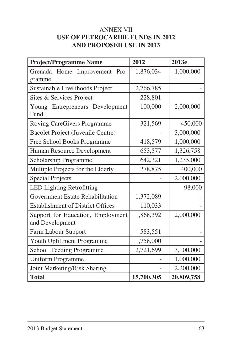#### ANNEX VII **USE OF PETROCARIBE FUNDS IN 2012 AND PROPOSED USE IN 2013**

| <b>Project/Programme Name</b>            | 2012       | 2013e      |
|------------------------------------------|------------|------------|
| Grenada Home<br>Improvement<br>Pro-      | 1,876,034  | 1,000,000  |
| gramme                                   |            |            |
| Sustainable Livelihoods Project          | 2,766,785  |            |
| Sites & Services Project                 | 228,801    |            |
| Young Entrepreneurs Development          | 100,000    | 2,000,000  |
| Fund                                     |            |            |
| Roving CareGivers Programme              | 321,569    | 450,000    |
| Bacolet Project (Juvenile Centre)        |            | 3,000,000  |
| Free School Books Programme              | 418,579    | 1,000,000  |
| Human Resource Development               | 653,577    | 1,326,758  |
| Scholarship Programme                    | 642,321    | 1,235,000  |
| Multiple Projects for the Elderly        | 278,875    | 400,000    |
| <b>Special Projects</b>                  |            | 2,000,000  |
| <b>LED Lighting Retrofitting</b>         |            | 98,000     |
| Government Estate Rehabilitation         | 1,372,089  |            |
| <b>Establishment of District Offices</b> | 110,033    |            |
| Support for Education, Employment        | 1,868,392  | 2,000,000  |
| and Development                          |            |            |
| Farm Labour Support                      | 583,551    |            |
| Youth Upliftment Programme               | 1,758,000  |            |
| School Feeding Programme                 | 2,721,699  | 3,100,000  |
| <b>Uniform Programme</b>                 |            | 1,000,000  |
| Joint Marketing/Risk Sharing             |            | 2,200,000  |
| <b>Total</b>                             | 15,700,305 | 20,809,758 |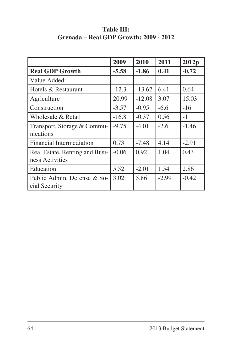|                                | 2009    | 2010     | 2011    | 2012p   |
|--------------------------------|---------|----------|---------|---------|
| <b>Real GDP Growth</b>         | $-5.58$ | $-1.86$  | 0.41    | $-0.72$ |
| Value Added:                   |         |          |         |         |
| Hotels & Restaurant            | $-12.3$ | $-13.62$ | 6.41    | 0.64    |
| Agriculture                    | 20.99   | $-12.08$ | 3.07    | 15.03   |
| Construction                   | $-3.57$ | $-0.95$  | $-6.6$  | $-16$   |
| Wholesale & Retail             | $-16.8$ | $-0.37$  | 0.56    | $-1$    |
| Transport, Storage & Commu-    | $-9.75$ | $-4.01$  | $-2.6$  | $-1.46$ |
| nications                      |         |          |         |         |
| Financial Intermediation       | 0.73    | $-7.48$  | 4.14    | $-2.91$ |
| Real Estate, Renting and Busi- | $-0.06$ | 0.92     | 1.04    | 0.43    |
| ness Activities                |         |          |         |         |
| Education                      | 5.52    | $-2.01$  | 1.54    | 2.86    |
| Public Admin, Defense & So-    | 3.02    | 5.86     | $-2.99$ | $-0.42$ |
| cial Security                  |         |          |         |         |

#### **Table III: Grenada – Real GDP Growth: 2009 - 2012**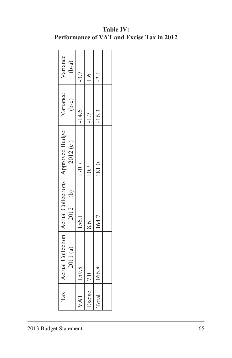| $\Gamma$ ax    |          | Actual Collection   Actual Collections   Approved Budget |         | Variance | Variance |
|----------------|----------|----------------------------------------------------------|---------|----------|----------|
|                | 2011 (a) | 2012 (b)                                                 | 2012(c) | $(b-c)$  | $(b-a)$  |
| VAT   159.8    |          | 156.1                                                    | 170.7   | $-14.6$  | $-3.7$   |
| Excise   $7.0$ |          | $\frac{8.6}{ }$                                          | 10.3    | $-1.7$   |          |
| Total   166.8  |          | 164.7                                                    | 181.0   | 116.3    | $-2.1$   |
|                |          |                                                          |         |          |          |

### **Table IV: Performance of VAT and Excise Tax in 2012**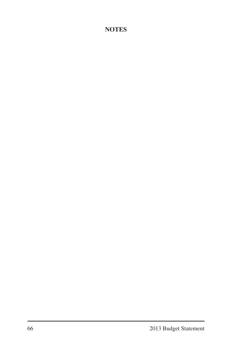### **NOTES**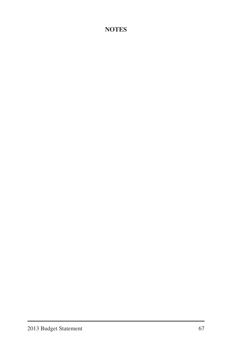### **NOTES**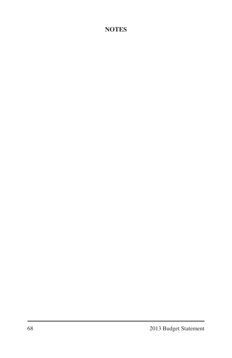### **NOTES**